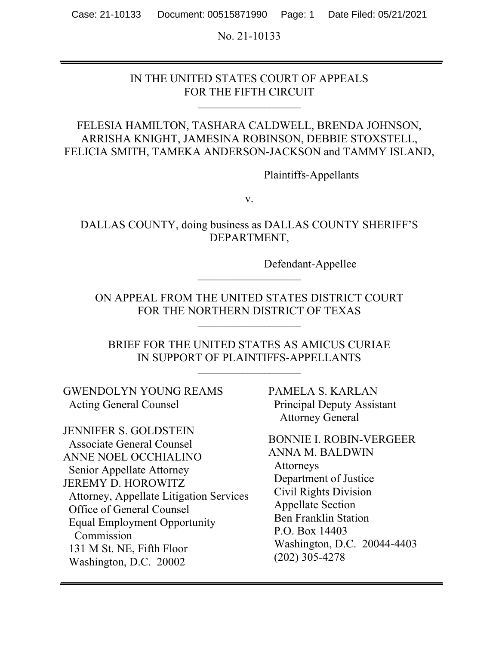No. 21-10133

## IN THE UNITED STATES COURT OF APPEALS FOR THE FIFTH CIRCUIT

## FELESIA HAMILTON, TASHARA CALDWELL, BRENDA JOHNSON, ARRISHA KNIGHT, JAMESINA ROBINSON, DEBBIE STOXSTELL, FELICIA SMITH, TAMEKA ANDERSON-JACKSON and TAMMY ISLAND,

Plaintiffs-Appellants

v.

DALLAS COUNTY, doing business as DALLAS COUNTY SHERIFF'S DEPARTMENT,

Defendant-Appellee

ON APPEAL FROM THE UNITED STATES DISTRICT COURT FOR THE NORTHERN DISTRICT OF TEXAS

BRIEF FOR THE UNITED STATES AS AMICUS CURIAE IN SUPPORT OF PLAINTIFFS-APPELLANTS

GWENDOLYN YOUNG REAMS Acting General Counsel

JENNIFER S. GOLDSTEIN Associate General Counsel ANNE NOEL OCCHIALINO Senior Appellate Attorney JEREMY D. HOROWITZ Attorney, Appellate Litigation Services Office of General Counsel Equal Employment Opportunity Commission 131 M St. NE, Fifth Floor Washington, D.C. 20002

PAMELA S. KARLAN Principal Deputy Assistant Attorney General

BONNIE I. ROBIN-VERGEER ANNA M. BALDWIN Attorneys Department of Justice Civil Rights Division Appellate Section Ben Franklin Station P.O. Box 14403 Washington, D.C. 20044-4403 (202) 305-4278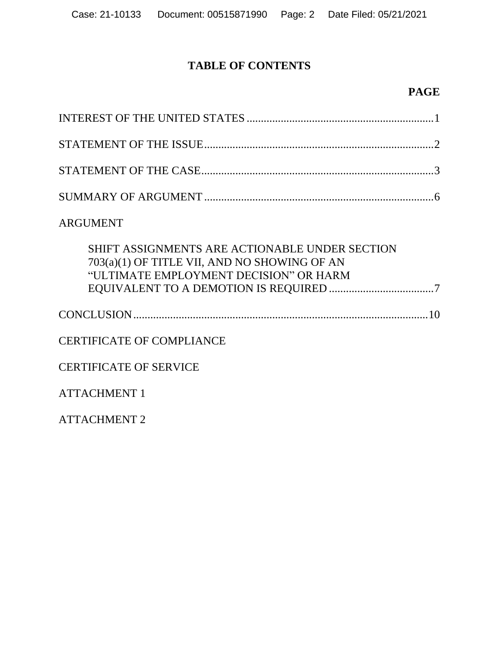# **TABLE OF CONTENTS**

## **PAGE**

## ARGUMENT

| SHIFT ASSIGNMENTS ARE ACTIONABLE UNDER SECTION<br>703(a)(1) OF TITLE VII, AND NO SHOWING OF AN<br>"ULTIMATE EMPLOYMENT DECISION" OR HARM |
|------------------------------------------------------------------------------------------------------------------------------------------|
|                                                                                                                                          |
| <b>CERTIFICATE OF COMPLIANCE</b>                                                                                                         |
| <b>CERTIFICATE OF SERVICE</b>                                                                                                            |
| <b>ATTACHMENT 1</b>                                                                                                                      |
| <b>ATTACHMENT 2</b>                                                                                                                      |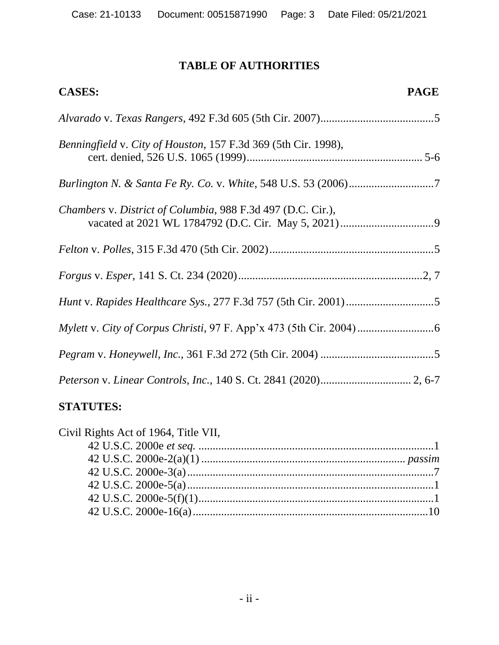# **TABLE OF AUTHORITIES**

| <b>CASES:</b><br><b>PAGE</b>                                   |  |
|----------------------------------------------------------------|--|
|                                                                |  |
| Benningfield v. City of Houston, 157 F.3d 369 (5th Cir. 1998), |  |
|                                                                |  |
| Chambers v. District of Columbia, 988 F.3d 497 (D.C. Cir.),    |  |
|                                                                |  |
|                                                                |  |
|                                                                |  |
|                                                                |  |
|                                                                |  |
|                                                                |  |

# **STATUTES:**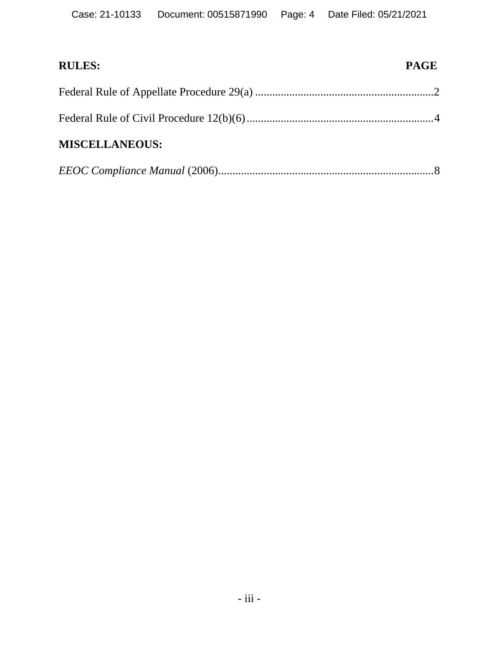| <b>RULES:</b>         | <b>PAGE</b> |
|-----------------------|-------------|
|                       |             |
|                       |             |
| <b>MISCELLANEOUS:</b> |             |
|                       |             |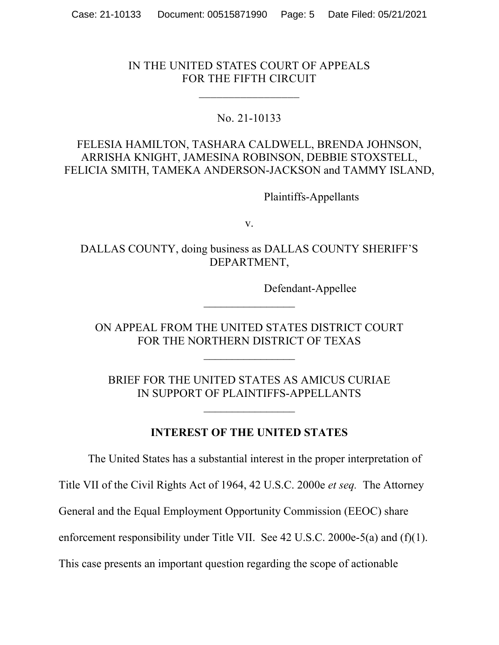## IN THE UNITED STATES COURT OF APPEALS FOR THE FIFTH CIRCUIT

 $\frac{1}{2}$ 

## No. 21-10133

## FELESIA HAMILTON, TASHARA CALDWELL, BRENDA JOHNSON, ARRISHA KNIGHT, JAMESINA ROBINSON, DEBBIE STOXSTELL, FELICIA SMITH, TAMEKA ANDERSON-JACKSON and TAMMY ISLAND,

Plaintiffs-Appellants

v.

DALLAS COUNTY, doing business as DALLAS COUNTY SHERIFF'S DEPARTMENT,

Defendant-Appellee

ON APPEAL FROM THE UNITED STATES DISTRICT COURT FOR THE NORTHERN DISTRICT OF TEXAS

BRIEF FOR THE UNITED STATES AS AMICUS CURIAE IN SUPPORT OF PLAINTIFFS-APPELLANTS

**INTEREST OF THE UNITED STATES** 

The United States has a substantial interest in the proper interpretation of

Title VII of the Civil Rights Act of 1964, 42 U.S.C. 2000e *et seq.* The Attorney

General and the Equal Employment Opportunity Commission (EEOC) share

enforcement responsibility under Title VII. See 42 U.S.C. 2000e-5(a) and (f)(1).

This case presents an important question regarding the scope of actionable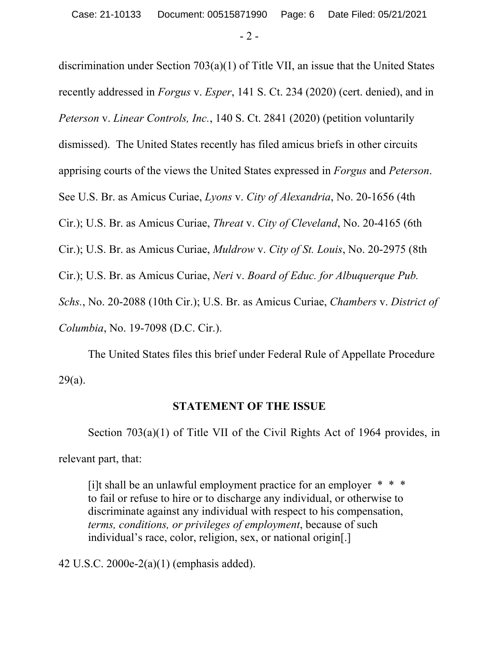$-2 -$ 

discrimination under Section 703(a)(1) of Title VII, an issue that the United States recently addressed in *Forgus* v. *Esper*, 141 S. Ct. 234 (2020) (cert. denied), and in *Peterson* v. *Linear Controls, Inc.*, 140 S. Ct. 2841 (2020) (petition voluntarily dismissed). The United States recently has filed amicus briefs in other circuits apprising courts of the views the United States expressed in *Forgus* and *Peterson*. See U.S. Br. as Amicus Curiae, *Lyons* v. *City of Alexandria*, No. 20-1656 (4th Cir.); U.S. Br. as Amicus Curiae, *Threat* v. *City of Cleveland*, No. 20-4165 (6th Cir.); U.S. Br. as Amicus Curiae, *Muldrow* v. *City of St. Louis*, No. 20-2975 (8th Cir.); U.S. Br. as Amicus Curiae, *Neri* v. *Board of Educ. for Albuquerque Pub. Schs.*, No. 20-2088 (10th Cir.); U.S. Br. as Amicus Curiae, *Chambers* v. *District of Columbia*, No. 19-7098 (D.C. Cir.).

The United States files this brief under Federal Rule of Appellate Procedure 29(a).

## **STATEMENT OF THE ISSUE**

Section 703(a)(1) of Title VII of the Civil Rights Act of 1964 provides, in relevant part, that:

[i]t shall be an unlawful employment practice for an employer  $* * *$ to fail or refuse to hire or to discharge any individual, or otherwise to discriminate against any individual with respect to his compensation, *terms, conditions, or privileges of employment*, because of such individual's race, color, religion, sex, or national origin[.]

42 U.S.C. 2000e-2(a)(1) (emphasis added).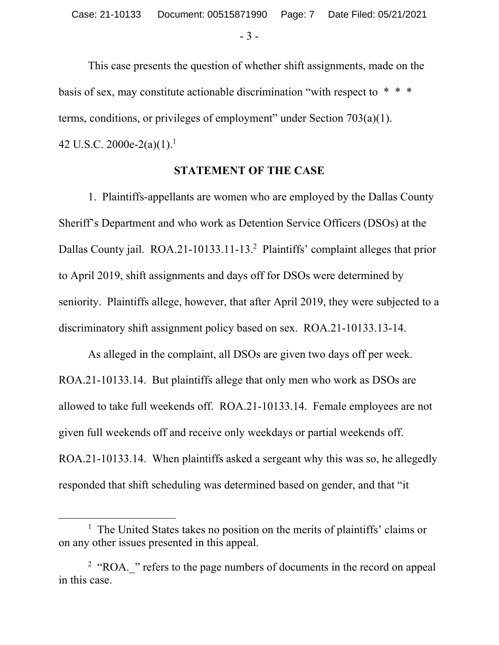- 3 -

This case presents the question of whether shift assignments, made on the basis of sex, may constitute actionable discrimination "with respect to  $* * *$ terms, conditions, or privileges of employment" under Section 703(a)(1). 42 U.S.C. 2000e-2(a)(1).<sup>1</sup>

#### **STATEMENT OF THE CASE**

 1. Plaintiffs-appellants are women who are employed by the Dallas County Sheriff's Department and who work as Detention Service Officers (DSOs) at the Dallas County jail. ROA.21-10133.11-13.<sup>2</sup> Plaintiffs' complaint alleges that prior to April 2019, shift assignments and days off for DSOs were determined by seniority. Plaintiffs allege, however, that after April 2019, they were subjected to a discriminatory shift assignment policy based on sex. ROA.21-10133.13-14.

As alleged in the complaint, all DSOs are given two days off per week. ROA.21-10133.14. But plaintiffs allege that only men who work as DSOs are allowed to take full weekends off. ROA.21-10133.14. Female employees are not given full weekends off and receive only weekdays or partial weekends off. ROA.21-10133.14. When plaintiffs asked a sergeant why this was so, he allegedly responded that shift scheduling was determined based on gender, and that "it

<sup>&</sup>lt;u>1</u>  $<sup>1</sup>$  The United States takes no position on the merits of plaintiffs' claims or</sup> on any other issues presented in this appeal.

 $2$  "ROA.  $\cdot$ " refers to the page numbers of documents in the record on appeal in this case.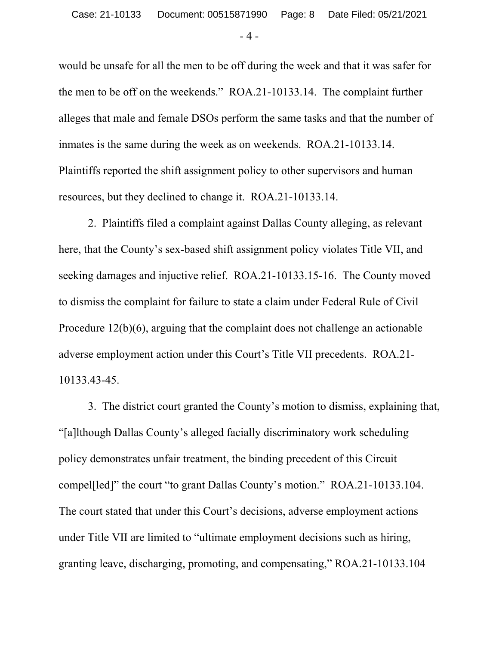- 4 -

would be unsafe for all the men to be off during the week and that it was safer for the men to be off on the weekends." ROA.21-10133.14. The complaint further alleges that male and female DSOs perform the same tasks and that the number of inmates is the same during the week as on weekends. ROA.21-10133.14. Plaintiffs reported the shift assignment policy to other supervisors and human resources, but they declined to change it. ROA.21-10133.14.

2. Plaintiffs filed a complaint against Dallas County alleging, as relevant here, that the County's sex-based shift assignment policy violates Title VII, and seeking damages and injuctive relief. ROA.21-10133.15-16. The County moved to dismiss the complaint for failure to state a claim under Federal Rule of Civil Procedure 12(b)(6), arguing that the complaint does not challenge an actionable adverse employment action under this Court's Title VII precedents. ROA.21- 10133.43-45.

3. The district court granted the County's motion to dismiss, explaining that, "[a]lthough Dallas County's alleged facially discriminatory work scheduling policy demonstrates unfair treatment, the binding precedent of this Circuit compel[led]" the court "to grant Dallas County's motion." ROA.21-10133.104. The court stated that under this Court's decisions, adverse employment actions under Title VII are limited to "ultimate employment decisions such as hiring, granting leave, discharging, promoting, and compensating," ROA.21-10133.104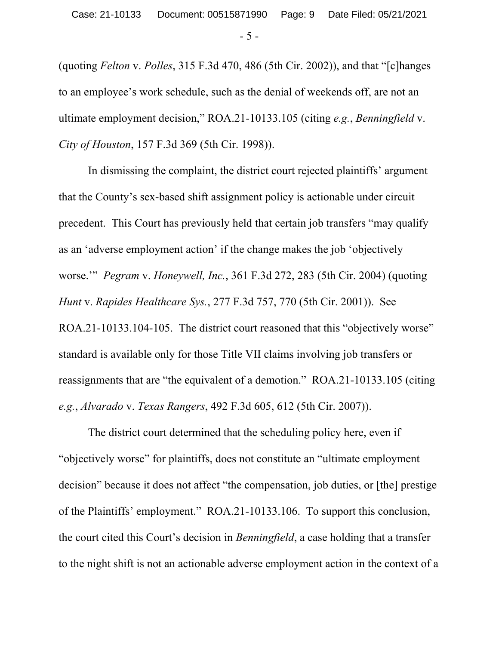- 5 -

(quoting *Felton* v. *Polles*, 315 F.3d 470, 486 (5th Cir. 2002)), and that "[c]hanges to an employee's work schedule, such as the denial of weekends off, are not an ultimate employment decision," ROA.21-10133.105 (citing *e.g.*, *Benningfield* v. *City of Houston*, 157 F.3d 369 (5th Cir. 1998)).

In dismissing the complaint, the district court rejected plaintiffs' argument that the County's sex-based shift assignment policy is actionable under circuit precedent. This Court has previously held that certain job transfers "may qualify as an 'adverse employment action' if the change makes the job 'objectively worse.'" *Pegram* v. *Honeywell, Inc.*, 361 F.3d 272, 283 (5th Cir. 2004) (quoting *Hunt* v. *Rapides Healthcare Sys.*, 277 F.3d 757, 770 (5th Cir. 2001)). See ROA.21-10133.104-105. The district court reasoned that this "objectively worse" standard is available only for those Title VII claims involving job transfers or reassignments that are "the equivalent of a demotion." ROA.21-10133.105 (citing *e.g.*, *Alvarado* v. *Texas Rangers*, 492 F.3d 605, 612 (5th Cir. 2007)).

The district court determined that the scheduling policy here, even if "objectively worse" for plaintiffs, does not constitute an "ultimate employment decision" because it does not affect "the compensation, job duties, or [the] prestige of the Plaintiffs' employment." ROA.21-10133.106. To support this conclusion, the court cited this Court's decision in *Benningfield*, a case holding that a transfer to the night shift is not an actionable adverse employment action in the context of a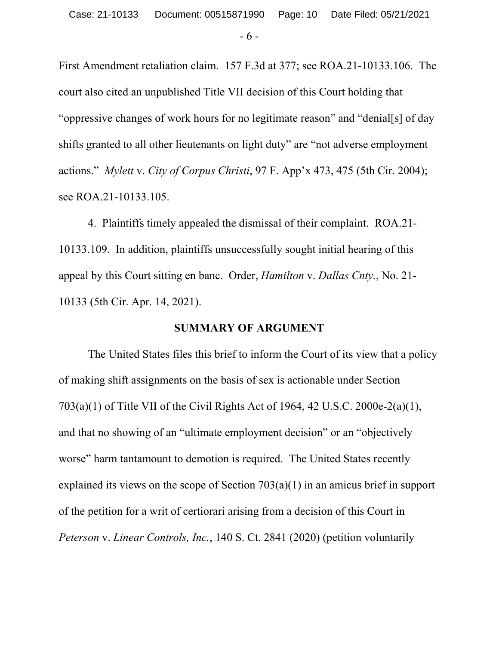- 6 -

First Amendment retaliation claim. 157 F.3d at 377; see ROA.21-10133.106. The court also cited an unpublished Title VII decision of this Court holding that "oppressive changes of work hours for no legitimate reason" and "denial[s] of day shifts granted to all other lieutenants on light duty" are "not adverse employment actions." *Mylett* v. *City of Corpus Christi*, 97 F. App'x 473, 475 (5th Cir. 2004); see ROA.21-10133.105.

4. Plaintiffs timely appealed the dismissal of their complaint. ROA.21- 10133.109. In addition, plaintiffs unsuccessfully sought initial hearing of this appeal by this Court sitting en banc. Order, *Hamilton* v. *Dallas Cnty.*, No. 21- 10133 (5th Cir. Apr. 14, 2021).

## **SUMMARY OF ARGUMENT**

 The United States files this brief to inform the Court of its view that a policy of making shift assignments on the basis of sex is actionable under Section 703(a)(1) of Title VII of the Civil Rights Act of 1964, 42 U.S.C. 2000e-2(a)(1), and that no showing of an "ultimate employment decision" or an "objectively worse" harm tantamount to demotion is required. The United States recently explained its views on the scope of Section 703(a)(1) in an amicus brief in support of the petition for a writ of certiorari arising from a decision of this Court in *Peterson* v. *Linear Controls, Inc.*, 140 S. Ct. 2841 (2020) (petition voluntarily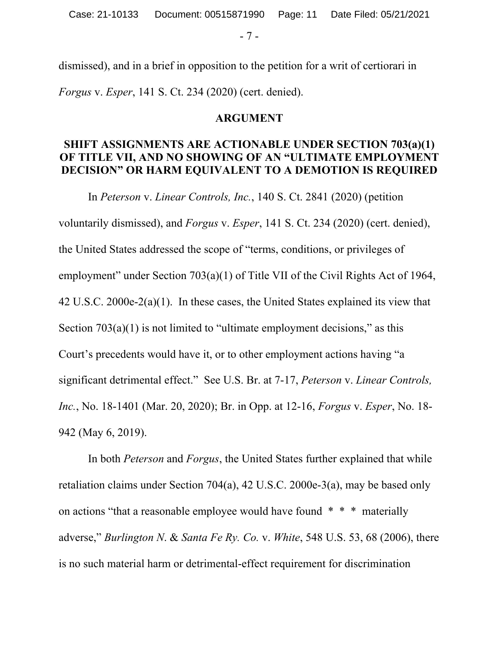- 7 -

dismissed), and in a brief in opposition to the petition for a writ of certiorari in *Forgus* v. *Esper*, 141 S. Ct. 234 (2020) (cert. denied).

## **ARGUMENT**

## **SHIFT ASSIGNMENTS ARE ACTIONABLE UNDER SECTION 703(a)(1) OF TITLE VII, AND NO SHOWING OF AN "ULTIMATE EMPLOYMENT DECISION" OR HARM EQUIVALENT TO A DEMOTION IS REQUIRED**

In *Peterson* v. *Linear Controls, Inc.*, 140 S. Ct. 2841 (2020) (petition voluntarily dismissed), and *Forgus* v. *Esper*, 141 S. Ct. 234 (2020) (cert. denied), the United States addressed the scope of "terms, conditions, or privileges of employment" under Section 703(a)(1) of Title VII of the Civil Rights Act of 1964, 42 U.S.C. 2000e-2(a)(1). In these cases, the United States explained its view that Section  $703(a)(1)$  is not limited to "ultimate employment decisions," as this Court's precedents would have it, or to other employment actions having "a significant detrimental effect." See U.S. Br. at 7-17, *Peterson* v. *Linear Controls, Inc.*, No. 18-1401 (Mar. 20, 2020); Br. in Opp. at 12-16, *Forgus* v. *Esper*, No. 18- 942 (May 6, 2019).

In both *Peterson* and *Forgus*, the United States further explained that while retaliation claims under Section 704(a), 42 U.S.C. 2000e-3(a), may be based only on actions "that a reasonable employee would have found \* \* \* materially adverse," *Burlington N*. & *Santa Fe Ry. Co.* v. *White*, 548 U.S. 53, 68 (2006), there is no such material harm or detrimental-effect requirement for discrimination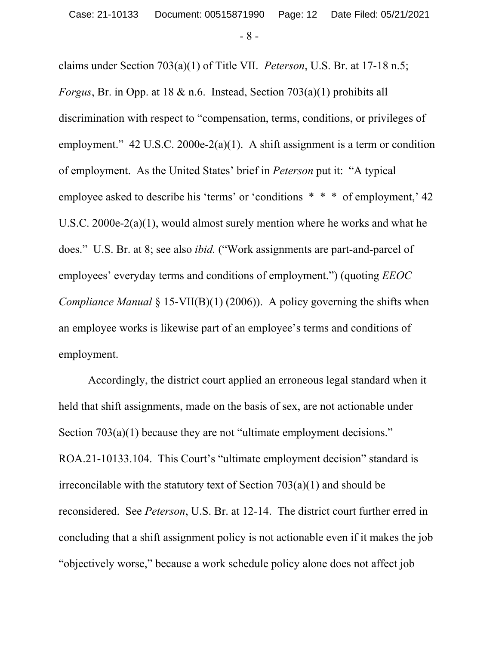- 8 -

claims under Section 703(a)(1) of Title VII. *Peterson*, U.S. Br. at 17-18 n.5; *Forgus*, Br. in Opp. at 18 & n.6. Instead, Section 703(a)(1) prohibits all discrimination with respect to "compensation, terms, conditions, or privileges of employment."  $42 \text{ U.S.C. } 2000e-2(a)(1)$ . A shift assignment is a term or condition of employment. As the United States' brief in *Peterson* put it: "A typical employee asked to describe his 'terms' or 'conditions  $* * *$  of employment,' 42 U.S.C. 2000e-2(a)(1), would almost surely mention where he works and what he does." U.S. Br. at 8; see also *ibid.* ("Work assignments are part-and-parcel of employees' everyday terms and conditions of employment.") (quoting *EEOC Compliance Manual* § 15-VII(B)(1) (2006)). A policy governing the shifts when an employee works is likewise part of an employee's terms and conditions of employment.

Accordingly, the district court applied an erroneous legal standard when it held that shift assignments, made on the basis of sex, are not actionable under Section 703(a)(1) because they are not "ultimate employment decisions." ROA.21-10133.104. This Court's "ultimate employment decision" standard is irreconcilable with the statutory text of Section 703(a)(1) and should be reconsidered. See *Peterson*, U.S. Br. at 12-14. The district court further erred in concluding that a shift assignment policy is not actionable even if it makes the job "objectively worse," because a work schedule policy alone does not affect job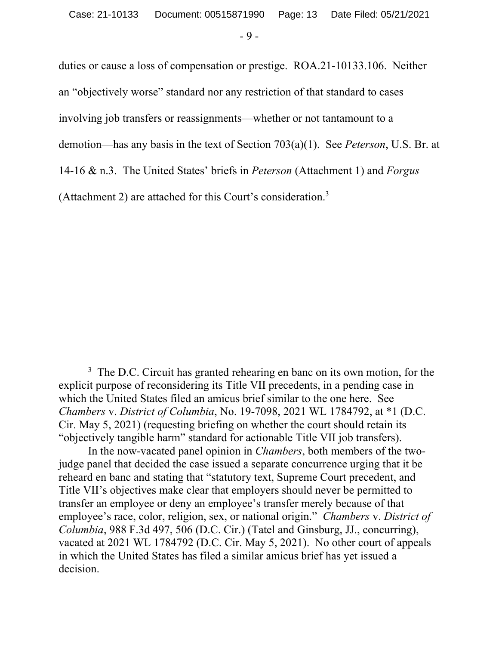- 9 -

duties or cause a loss of compensation or prestige. ROA.21-10133.106. Neither an "objectively worse" standard nor any restriction of that standard to cases involving job transfers or reassignments—whether or not tantamount to a demotion—has any basis in the text of Section 703(a)(1). See *Peterson*, U.S. Br. at 14-16 & n.3. The United States' briefs in *Peterson* (Attachment 1) and *Forgus*  (Attachment 2) are attached for this Court's consideration.3

 $\overline{\phantom{a}}$ <sup>3</sup> The D.C. Circuit has granted rehearing en banc on its own motion, for the explicit purpose of reconsidering its Title VII precedents, in a pending case in which the United States filed an amicus brief similar to the one here. See *Chambers* v. *District of Columbia*, No. 19-7098, 2021 WL 1784792, at \*1 (D.C. Cir. May 5, 2021) (requesting briefing on whether the court should retain its "objectively tangible harm" standard for actionable Title VII job transfers).

In the now-vacated panel opinion in *Chambers*, both members of the twojudge panel that decided the case issued a separate concurrence urging that it be reheard en banc and stating that "statutory text, Supreme Court precedent, and Title VII's objectives make clear that employers should never be permitted to transfer an employee or deny an employee's transfer merely because of that employee's race, color, religion, sex, or national origin." *Chambers* v. *District of Columbia*, 988 F.3d 497, 506 (D.C. Cir.) (Tatel and Ginsburg, JJ., concurring), vacated at 2021 WL 1784792 (D.C. Cir. May 5, 2021). No other court of appeals in which the United States has filed a similar amicus brief has yet issued a decision.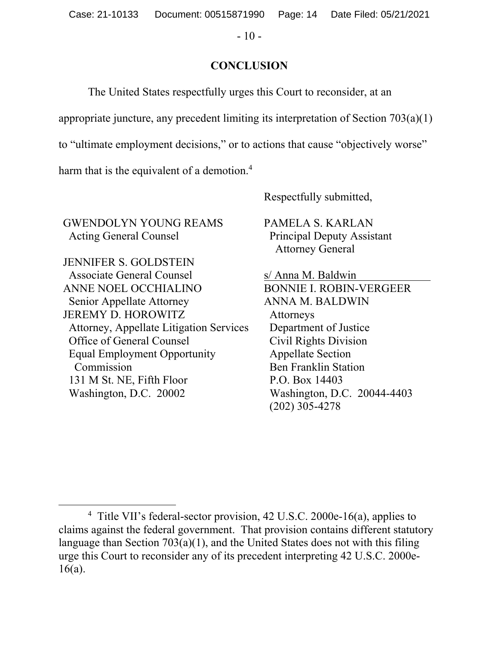$-10-$ 

## **CONCLUSION**

The United States respectfully urges this Court to reconsider, at an

appropriate juncture, any precedent limiting its interpretation of Section 703(a)(1)

to "ultimate employment decisions," or to actions that cause "objectively worse"

harm that is the equivalent of a demotion.<sup>4</sup>

Respectfully submitted,

GWENDOLYN YOUNG REAMS Acting General Counsel

JENNIFER S. GOLDSTEIN Associate General Counsel ANNE NOEL OCCHIALINO Senior Appellate Attorney JEREMY D. HOROWITZ Attorney, Appellate Litigation Services Office of General Counsel Equal Employment Opportunity Commission 131 M St. NE, Fifth Floor Washington, D.C. 20002

PAMELA S. KARLAN Principal Deputy Assistant Attorney General

s/ Anna M. Baldwin BONNIE I. ROBIN-VERGEER ANNA M. BALDWIN Attorneys Department of Justice Civil Rights Division Appellate Section Ben Franklin Station P.O. Box 14403 Washington, D.C. 20044-4403 (202) 305-4278

 $\overline{4}$ <sup>4</sup> Title VII's federal-sector provision, 42 U.S.C. 2000e-16(a), applies to claims against the federal government. That provision contains different statutory language than Section 703(a)(1), and the United States does not with this filing urge this Court to reconsider any of its precedent interpreting 42 U.S.C. 2000e-16(a).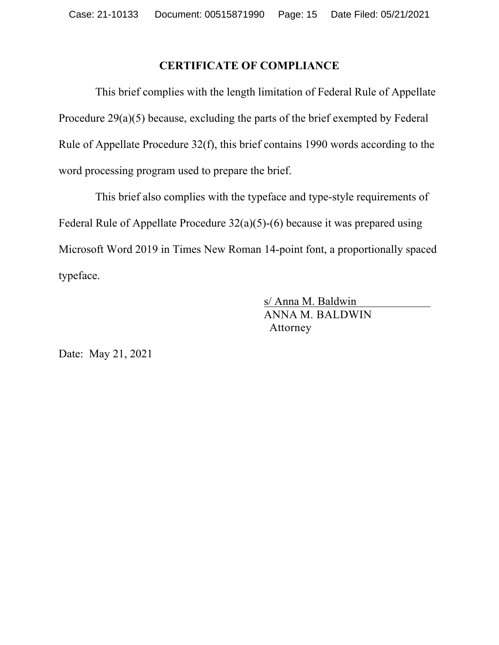## **CERTIFICATE OF COMPLIANCE**

 This brief complies with the length limitation of Federal Rule of Appellate Procedure 29(a)(5) because, excluding the parts of the brief exempted by Federal Rule of Appellate Procedure 32(f), this brief contains 1990 words according to the word processing program used to prepare the brief.

 This brief also complies with the typeface and type-style requirements of Federal Rule of Appellate Procedure 32(a)(5)-(6) because it was prepared using Microsoft Word 2019 in Times New Roman 14-point font, a proportionally spaced typeface.

> s/ Anna M. Baldwin ANNA M. BALDWIN Attorney

Date: May 21, 2021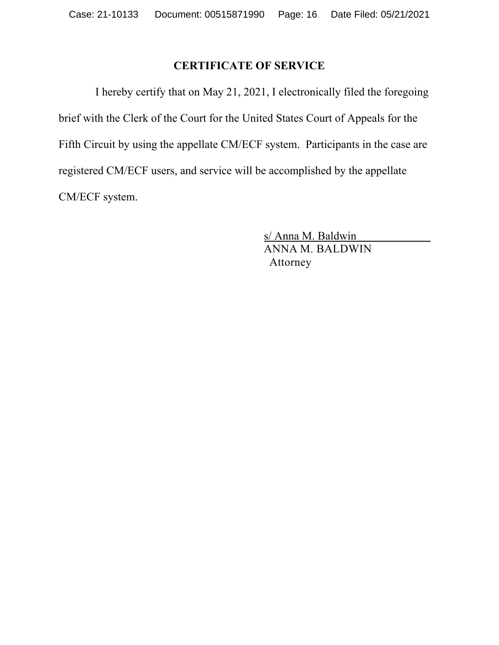## **CERTIFICATE OF SERVICE**

 I hereby certify that on May 21, 2021, I electronically filed the foregoing brief with the Clerk of the Court for the United States Court of Appeals for the Fifth Circuit by using the appellate CM/ECF system. Participants in the case are registered CM/ECF users, and service will be accomplished by the appellate CM/ECF system.

> s/ Anna M. Baldwin ANNA M. BALDWIN Attorney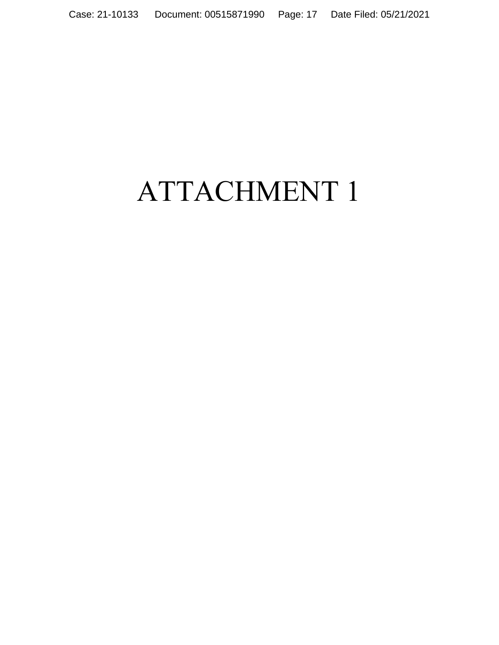# ATTACHMENT 1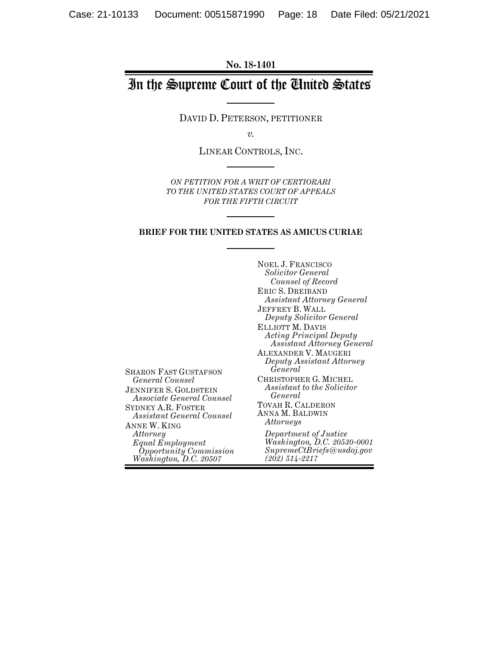**No. 18-1401**

# In the Supreme Court of the United States

DAVID D. PETERSON, PETITIONER

*v.*

LINEAR CONTROLS, INC.

*ON PETITION FOR A WRIT OF CERTIORARI TO THE UNITED STATES COURT OF APPEALS FOR THE FIFTH CIRCUIT*

#### **BRIEF FOR THE UNITED STATES AS AMICUS CURIAE**

SHARON FAST GUSTAFSON *General Counsel* JENNIFER S. GOLDSTEIN *Associate General Counsel* SYDNEY A.R. FOSTER *Assistant General Counsel* ANNE W. KING *Equal Employment Opportunity Commission Washington, D.C. 20507* NOEL J. FRANCISCO *Solicitor General Counsel of Record* ERIC S. DREIBAND *Assistant Attorney General* JEFFREY B. WALL *Deputy Solicitor General* ELLIOTT M. DAVIS *Acting Principal Deputy Assistant Attorney General* ALEXANDER V. MAUGERI *Deputy Assistant Attorney General* CHRISTOPHER G. MICHEL *Assistant to the Solicitor General*  TOVAH R. CALDERON ANNA M. BALDWIN *Attorneys Department of Justice Washington, D.C. 20530-0001 SupremeCtBriefs@usdoj.gov (202) 514-2217*

*Attorney*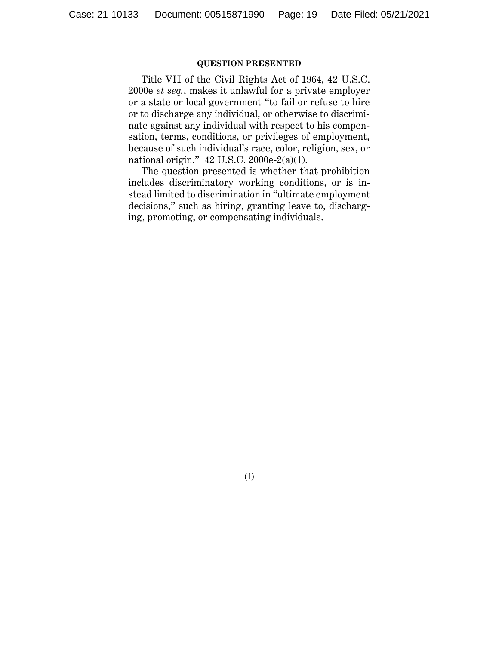#### **QUESTION PRESENTED**

Title VII of the Civil Rights Act of 1964, 42 U.S.C. 2000e *et seq.*, makes it unlawful for a private employer or a state or local government "to fail or refuse to hire or to discharge any individual, or otherwise to discriminate against any individual with respect to his compensation, terms, conditions, or privileges of employment, because of such individual's race, color, religion, sex, or national origin." 42 U.S.C. 2000e-2(a)(1).

The question presented is whether that prohibition includes discriminatory working conditions, or is instead limited to discrimination in "ultimate employment decisions," such as hiring, granting leave to, discharging, promoting, or compensating individuals.

(I)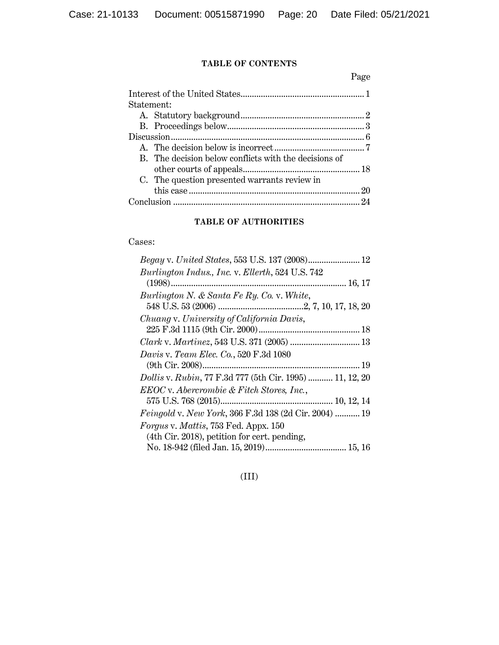## **TABLE OF CONTENTS**

Page

| Statement: |                                                       |  |
|------------|-------------------------------------------------------|--|
|            |                                                       |  |
|            |                                                       |  |
|            |                                                       |  |
|            |                                                       |  |
|            | B. The decision below conflicts with the decisions of |  |
|            |                                                       |  |
|            | C. The question presented warrants review in          |  |
|            |                                                       |  |
|            |                                                       |  |

## **TABLE OF AUTHORITIES**

#### Cases:

| Begay v. United States, 553 U.S. 137 (2008) 12                  |
|-----------------------------------------------------------------|
| Burlington Indus., Inc. v. Ellerth, 524 U.S. 742                |
|                                                                 |
| Burlington N. & Santa Fe Ry. Co. v. White,                      |
|                                                                 |
| Chuang v. University of California Davis,                       |
|                                                                 |
|                                                                 |
| <i>Davis v. Team Elec. Co.</i> , 520 F.3d 1080                  |
|                                                                 |
| <i>Dollis v. Rubin, 77 F.3d 777 (5th Cir. 1995)  11, 12, 20</i> |
| EEOC v. Abercrombie & Fitch Stores, Inc.,                       |
|                                                                 |
| <i>Feingold v. New York, 366 F.3d 138 (2d Cir. 2004)  19</i>    |
| <i>Forgus v. Mattis, 753 Fed. Appx. 150</i>                     |
| (4th Cir. 2018), petition for cert. pending,                    |
|                                                                 |

## (III)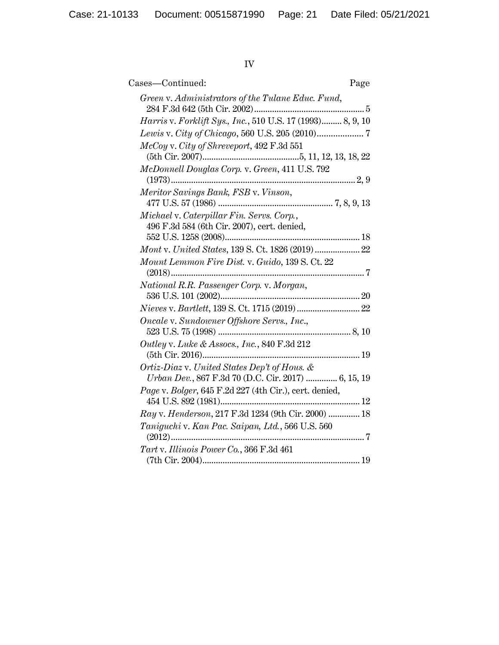# IV

| Cases—Continued:<br>Page                                                                            |  |
|-----------------------------------------------------------------------------------------------------|--|
| Green v. Administrators of the Tulane Educ. Fund,                                                   |  |
| Harris v. Forklift Sys., Inc., 510 U.S. 17 (1993) 8, 9, 10                                          |  |
|                                                                                                     |  |
| McCoy v. City of Shreveport, 492 F.3d 551                                                           |  |
| McDonnell Douglas Corp. v. Green, 411 U.S. 792                                                      |  |
| $(1973)$                                                                                            |  |
| Meritor Savings Bank, FSB v. Vinson,                                                                |  |
|                                                                                                     |  |
| Michael v. Caterpillar Fin. Servs. Corp.,                                                           |  |
| 496 F.3d 584 (6th Cir. 2007), cert. denied,                                                         |  |
|                                                                                                     |  |
| Mont v. United States, 139 S. Ct. 1826 (2019)  22                                                   |  |
| Mount Lemmon Fire Dist. v. Guido, 139 S. Ct. 22                                                     |  |
| National R.R. Passenger Corp. v. Morgan,                                                            |  |
|                                                                                                     |  |
|                                                                                                     |  |
| Oncale v. Sundowner Offshore Servs., Inc.,                                                          |  |
|                                                                                                     |  |
| Outley v. Luke & Assocs., Inc., 840 F.3d 212                                                        |  |
|                                                                                                     |  |
| Ortiz-Diaz v. United States Dep't of Hous. &<br>Urban Dev., 867 F.3d 70 (D.C. Cir. 2017)  6, 15, 19 |  |
| Page v. Bolger, 645 F.2d 227 (4th Cir.), cert. denied,                                              |  |
|                                                                                                     |  |
| Ray v. Henderson, 217 F.3d 1234 (9th Cir. 2000)  18                                                 |  |
| Taniguchi v. Kan Pac. Saipan, Ltd., 566 U.S. 560                                                    |  |
| Tart v. Illinois Power Co., 366 F.3d 461                                                            |  |
|                                                                                                     |  |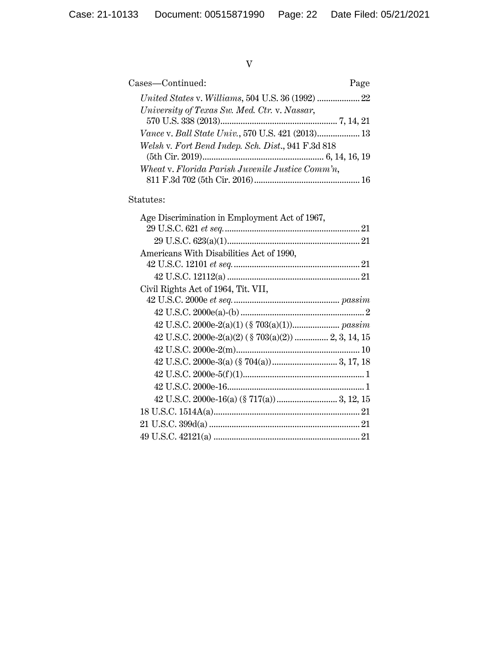V

| Cases-Continued:                                          | Page |
|-----------------------------------------------------------|------|
|                                                           |      |
| University of Texas Sw. Med. Ctr. v. Nassar,              |      |
|                                                           |      |
| <i>Vance v. Ball State Univ.</i> , 570 U.S. 421 (2013) 13 |      |
| Welsh v. Fort Bend Indep. Sch. Dist., 941 F.3d 818        |      |
|                                                           |      |
| Wheat v. Florida Parish Juvenile Justice Comm'n,          |      |
|                                                           |      |

## Statutes:

| Age Discrimination in Employment Act of 1967,       |  |
|-----------------------------------------------------|--|
|                                                     |  |
|                                                     |  |
| Americans With Disabilities Act of 1990,            |  |
|                                                     |  |
|                                                     |  |
| Civil Rights Act of 1964, Tit. VII,                 |  |
|                                                     |  |
|                                                     |  |
|                                                     |  |
| 42 U.S.C. 2000e-2(a)(2) (§ 703(a)(2))  2, 3, 14, 15 |  |
|                                                     |  |
|                                                     |  |
|                                                     |  |
|                                                     |  |
|                                                     |  |
|                                                     |  |
|                                                     |  |
|                                                     |  |
|                                                     |  |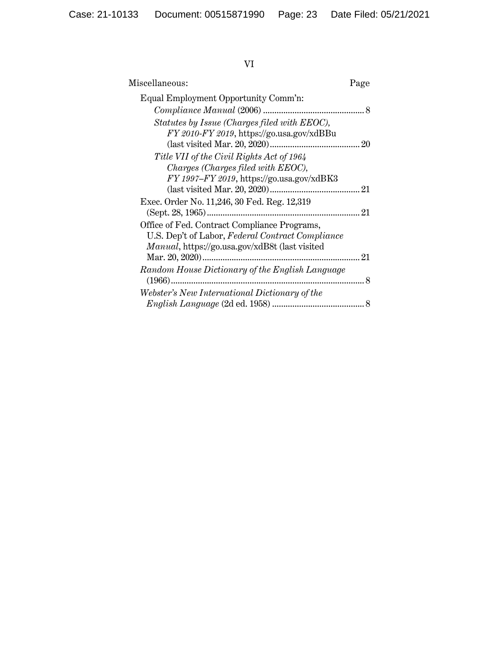# VI

| Miscellaneous:                                                                                                                                             | Page |
|------------------------------------------------------------------------------------------------------------------------------------------------------------|------|
| Equal Employment Opportunity Comm'n:                                                                                                                       |      |
|                                                                                                                                                            |      |
| Statutes by Issue (Charges filed with EEOC),<br>FY 2010-FY 2019, https://go.usa.gov/xdBBu                                                                  |      |
| Title VII of the Civil Rights Act of 1964<br>Charges (Charges filed with EEOC),<br>$FY$ 1997– $FY$ 2019, https://go.usa.gov/xdBK3                          |      |
| Exec. Order No. 11,246, 30 Fed. Reg. 12,319                                                                                                                |      |
| Office of Fed. Contract Compliance Programs,<br>U.S. Dep't of Labor, Federal Contract Compliance<br><i>Manual</i> , https://go.usa.gov/xdB8t (last visited |      |
| Random House Dictionary of the English Language                                                                                                            |      |
| Webster's New International Dictionary of the                                                                                                              |      |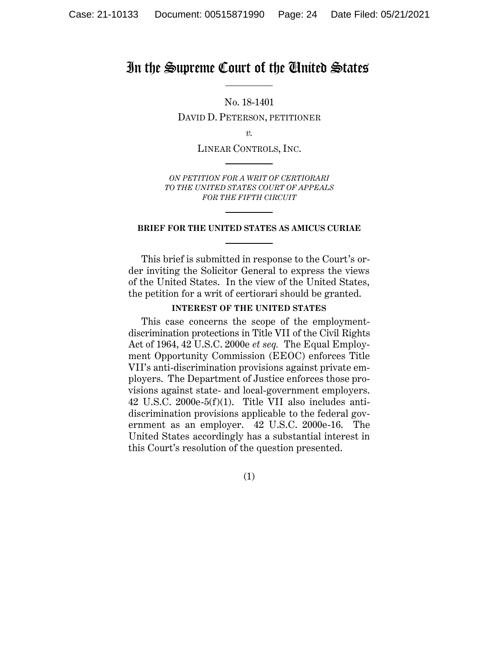## In the Supreme Court of the United States

No. 18-1401 DAVID D. PETERSON, PETITIONER

*v.*

LINEAR CONTROLS, INC.

*ON PETITION FOR A WRIT OF CERTIORARI TO THE UNITED STATES COURT OF APPEALS FOR THE FIFTH CIRCUIT*

#### **BRIEF FOR THE UNITED STATES AS AMICUS CURIAE**

This brief is submitted in response to the Court's order inviting the Solicitor General to express the views of the United States. In the view of the United States, the petition for a writ of certiorari should be granted.

#### **INTEREST OF THE UNITED STATES**

This case concerns the scope of the employmentdiscrimination protections in Title VII of the Civil Rights Act of 1964, 42 U.S.C. 2000e *et seq.* The Equal Employment Opportunity Commission (EEOC) enforces Title VII's anti-discrimination provisions against private employers. The Department of Justice enforces those provisions against state- and local-government employers. 42 U.S.C. 2000e-5(f)(1). Title VII also includes antidiscrimination provisions applicable to the federal government as an employer. 42 U.S.C. 2000e-16. The United States accordingly has a substantial interest in this Court's resolution of the question presented.

(1)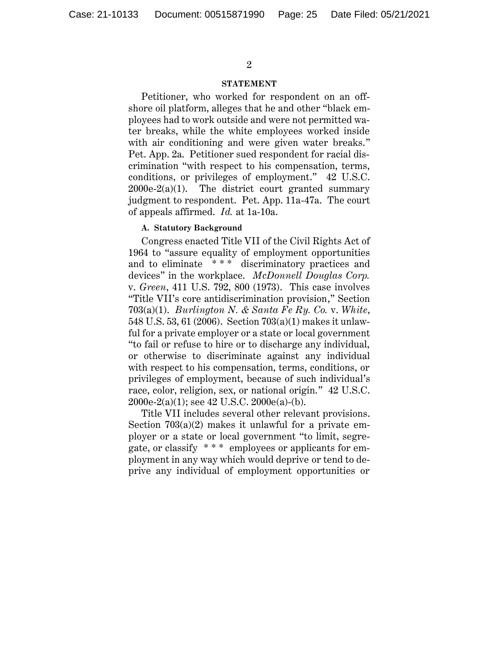#### **STATEMENT**

Petitioner, who worked for respondent on an offshore oil platform, alleges that he and other "black employees had to work outside and were not permitted water breaks, while the white employees worked inside with air conditioning and were given water breaks." Pet. App. 2a. Petitioner sued respondent for racial discrimination "with respect to his compensation, terms, conditions, or privileges of employment." 42 U.S.C.  $2000e-2(a)(1)$ . The district court granted summary judgment to respondent. Pet. App. 11a-47a. The court of appeals affirmed. *Id.* at 1a-10a.

#### **A. Statutory Background**

Congress enacted Title VII of the Civil Rights Act of 1964 to "assure equality of employment opportunities and to eliminate \* \* \* discriminatory practices and devices" in the workplace. *McDonnell Douglas Corp.* v. *Green*, 411 U.S. 792, 800 (1973). This case involves "Title VII's core antidiscrimination provision," Section 703(a)(1). *Burlington N. & Santa Fe Ry. Co.* v. *White*, 548 U.S. 53, 61 (2006). Section 703(a)(1) makes it unlawful for a private employer or a state or local government "to fail or refuse to hire or to discharge any individual, or otherwise to discriminate against any individual with respect to his compensation, terms, conditions, or privileges of employment, because of such individual's race, color, religion, sex, or national origin." 42 U.S.C. 2000e-2(a)(1); see 42 U.S.C. 2000e(a)-(b).

Title VII includes several other relevant provisions. Section  $703(a)(2)$  makes it unlawful for a private employer or a state or local government "to limit, segregate, or classify \* \* \* employees or applicants for employment in any way which would deprive or tend to deprive any individual of employment opportunities or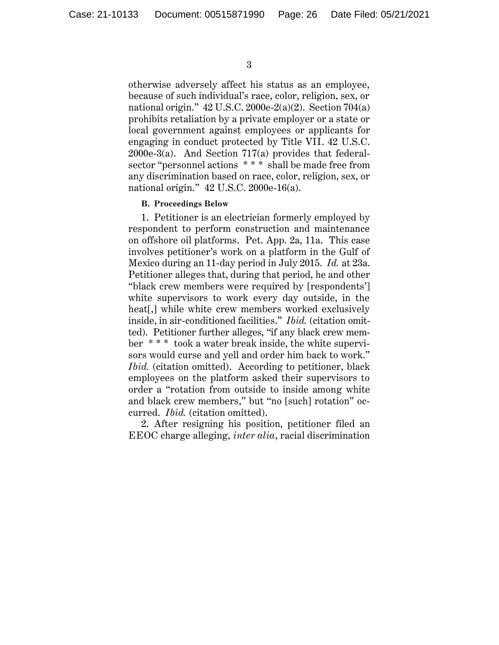otherwise adversely affect his status as an employee, because of such individual's race, color, religion, sex, or national origin." 42 U.S.C. 2000e-2(a)(2). Section 704(a) prohibits retaliation by a private employer or a state or local government against employees or applicants for engaging in conduct protected by Title VII. 42 U.S.C. 2000e-3(a). And Section 717(a) provides that federalsector "personnel actions \*\*\* shall be made free from any discrimination based on race, color, religion, sex, or national origin." 42 U.S.C. 2000e-16(a).

#### **B. Proceedings Below**

1. Petitioner is an electrician formerly employed by respondent to perform construction and maintenance on offshore oil platforms. Pet. App. 2a, 11a. This case involves petitioner's work on a platform in the Gulf of Mexico during an 11-day period in July 2015. *Id.* at 23a. Petitioner alleges that, during that period, he and other "black crew members were required by [respondents'] white supervisors to work every day outside, in the heat<sup>[1]</sup>, while white crew members worked exclusively inside, in air-conditioned facilities." *Ibid.* (citation omitted).Petitioner further alleges, "if any black crew member \* \* \* took a water break inside, the white supervisors would curse and yell and order him back to work." *Ibid.* (citation omitted). According to petitioner, black employees on the platform asked their supervisors to order a "rotation from outside to inside among white and black crew members," but "no [such] rotation" occurred. *Ibid.* (citation omitted).

2. After resigning his position, petitioner filed an EEOC charge alleging, *inter alia*, racial discrimination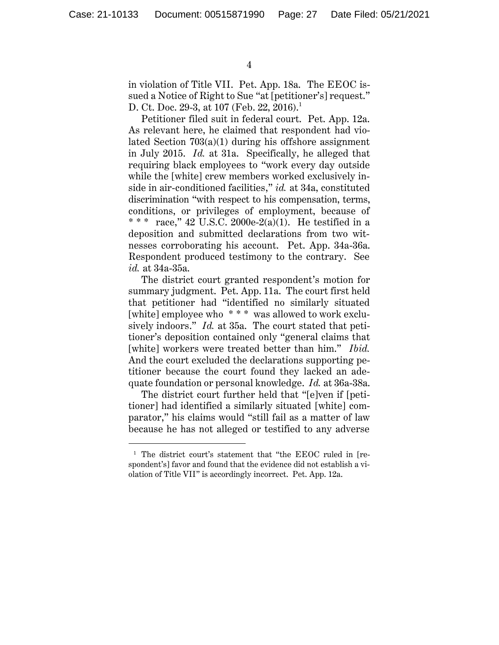$\overline{a}$ 

in violation of Title VII. Pet. App. 18a. The EEOC issued a Notice of Right to Sue "at [petitioner's] request." D. Ct. Doc. 29-3, at 107 (Feb. 22, 2016).<sup>1</sup>

Petitioner filed suit in federal court. Pet. App. 12a. As relevant here, he claimed that respondent had violated Section 703(a)(1) during his offshore assignment in July 2015. *Id.* at 31a. Specifically, he alleged that requiring black employees to "work every day outside while the [white] crew members worked exclusively inside in air-conditioned facilities," *id.* at 34a, constituted discrimination "with respect to his compensation, terms, conditions, or privileges of employment, because of \* \* \* race," 42 U.S.C. 2000e-2(a)(1). He testified in a deposition and submitted declarations from two witnesses corroborating his account. Pet. App. 34a-36a. Respondent produced testimony to the contrary. See *id.* at 34a-35a.

The district court granted respondent's motion for summary judgment. Pet. App. 11a. The court first held that petitioner had "identified no similarly situated [white] employee who \*\*\* was allowed to work exclusively indoors." *Id.* at 35a. The court stated that petitioner's deposition contained only "general claims that [white] workers were treated better than him." *Ibid.* And the court excluded the declarations supporting petitioner because the court found they lacked an adequate foundation or personal knowledge. *Id.* at 36a-38a.

The district court further held that "[e]ven if [petitioner] had identified a similarly situated [white] comparator," his claims would "still fail as a matter of law because he has not alleged or testified to any adverse

<sup>&</sup>lt;sup>1</sup> The district court's statement that "the EEOC ruled in [respondent's] favor and found that the evidence did not establish a violation of Title VII" is accordingly incorrect. Pet. App. 12a.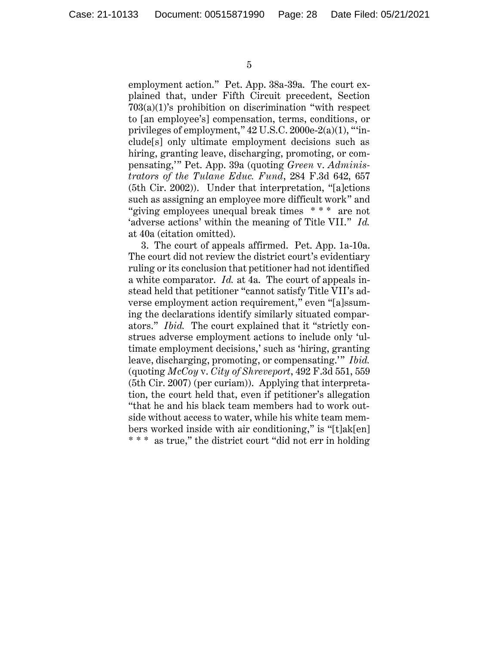employment action." Pet. App. 38a-39a. The court explained that, under Fifth Circuit precedent, Section 703(a)(1)'s prohibition on discrimination "with respect to [an employee's] compensation, terms, conditions, or privileges of employment," 42 U.S.C. 2000e-2(a)(1), "'include[s] only ultimate employment decisions such as hiring, granting leave, discharging, promoting, or compensating,'" Pet. App. 39a (quoting *Green* v. *Administrators of the Tulane Educ. Fund*, 284 F.3d 642, 657 (5th Cir. 2002)). Under that interpretation, "[a]ctions such as assigning an employee more difficult work" and "giving employees unequal break times \* \* \* are not 'adverse actions' within the meaning of Title VII." *Id.*  at 40a (citation omitted).

3. The court of appeals affirmed. Pet. App. 1a-10a. The court did not review the district court's evidentiary ruling or its conclusion that petitioner had not identified a white comparator. *Id.* at 4a. The court of appeals instead held that petitioner "cannot satisfy Title VII's adverse employment action requirement," even "[a]ssuming the declarations identify similarly situated comparators." *Ibid.* The court explained that it "strictly construes adverse employment actions to include only 'ultimate employment decisions,' such as 'hiring, granting leave, discharging, promoting, or compensating.'" *Ibid.* (quoting *McCoy* v. *City of Shreveport*, 492 F.3d 551, 559 (5th Cir. 2007) (per curiam)). Applying that interpretation, the court held that, even if petitioner's allegation "that he and his black team members had to work outside without access to water, while his white team members worked inside with air conditioning," is "[t]ak[en] \* \* \* as true," the district court "did not err in holding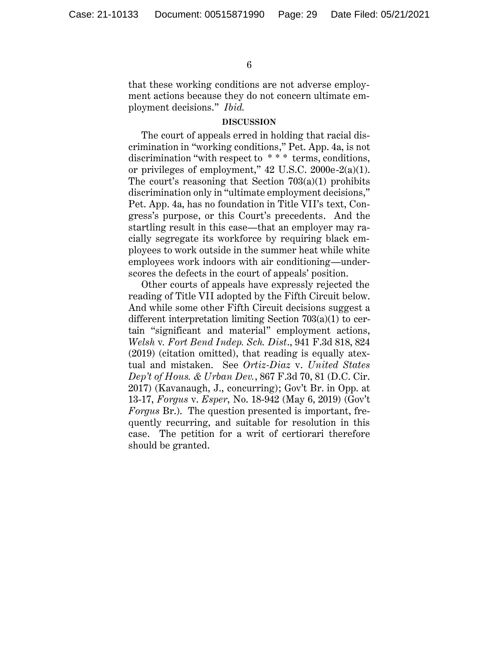that these working conditions are not adverse employment actions because they do not concern ultimate employment decisions." *Ibid.*

#### **DISCUSSION**

The court of appeals erred in holding that racial discrimination in "working conditions," Pet. App. 4a, is not discrimination "with respect to \* \* \* terms, conditions, or privileges of employment," 42 U.S.C. 2000e-2(a)(1). The court's reasoning that Section 703(a)(1) prohibits discrimination only in "ultimate employment decisions," Pet. App. 4a, has no foundation in Title VII's text, Congress's purpose, or this Court's precedents. And the startling result in this case—that an employer may racially segregate its workforce by requiring black employees to work outside in the summer heat while white employees work indoors with air conditioning—underscores the defects in the court of appeals' position.

Other courts of appeals have expressly rejected the reading of Title VII adopted by the Fifth Circuit below. And while some other Fifth Circuit decisions suggest a different interpretation limiting Section 703(a)(1) to certain "significant and material" employment actions, *Welsh* v*. Fort Bend Indep. Sch. Dist*., 941 F.3d 818, 824 (2019) (citation omitted), that reading is equally atextual and mistaken. See *Ortiz-Diaz* v. *United States Dep't of Hous. & Urban Dev.*, 867 F.3d 70, 81 (D.C. Cir. 2017) (Kavanaugh, J., concurring); Gov't Br. in Opp. at 13-17, *Forgus* v. *Esper*, No. 18-942 (May 6, 2019) (Gov't *Forgus* Br.). The question presented is important, frequently recurring, and suitable for resolution in this case. The petition for a writ of certiorari therefore should be granted.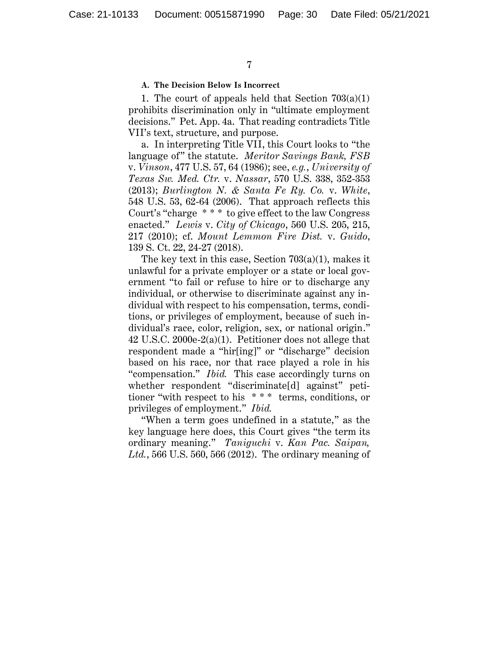#### **A. The Decision Below Is Incorrect**

1. The court of appeals held that Section  $703(a)(1)$ prohibits discrimination only in "ultimate employment decisions." Pet. App. 4a. That reading contradicts Title VII's text, structure, and purpose.

a. In interpreting Title VII, this Court looks to "the language of" the statute. *Meritor Savings Bank, FSB* v. *Vinson*, 477 U.S. 57, 64 (1986); see, *e.g.*, *University of Texas Sw. Med. Ctr.* v. *Nassar*, 570 U.S. 338, 352-353 (2013); *Burlington N. & Santa Fe Ry. Co.* v. *White*, 548 U.S. 53, 62-64 (2006). That approach reflects this Court's "charge \* \* \* to give effect to the law Congress enacted." *Lewis* v. *City of Chicago*, 560 U.S. 205, 215, 217 (2010); cf. *Mount Lemmon Fire Dist.* v. *Guido*, 139 S. Ct. 22, 24-27 (2018).

The key text in this case, Section 703(a)(1), makes it unlawful for a private employer or a state or local government "to fail or refuse to hire or to discharge any individual, or otherwise to discriminate against any individual with respect to his compensation, terms, conditions, or privileges of employment, because of such individual's race, color, religion, sex, or national origin." 42 U.S.C. 2000e-2(a)(1). Petitioner does not allege that respondent made a "hir[ing]" or "discharge" decision based on his race, nor that race played a role in his "compensation." *Ibid.* This case accordingly turns on whether respondent "discriminate[d] against" petitioner "with respect to his \* \* \* terms, conditions, or privileges of employment." *Ibid.*

"When a term goes undefined in a statute," as the key language here does, this Court gives "the term its ordinary meaning." *Taniguchi* v. *Kan Pac. Saipan, Ltd.*, 566 U.S. 560, 566 (2012). The ordinary meaning of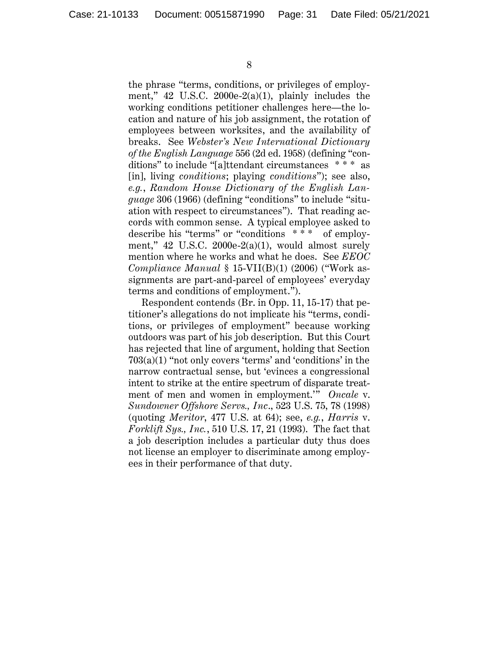the phrase "terms, conditions, or privileges of employment," 42 U.S.C. 2000e-2(a)(1), plainly includes the working conditions petitioner challenges here—the location and nature of his job assignment, the rotation of employees between worksites, and the availability of breaks. See *Webster's New International Dictionary of the English Language* 556 (2d ed. 1958) (defining "conditions" to include "[a]ttendant circumstances \* \* \* as [in], living *conditions*; playing *conditions*"); see also, *e.g.*, *Random House Dictionary of the English Language* 306 (1966) (defining "conditions" to include "situation with respect to circumstances"). That reading accords with common sense. A typical employee asked to describe his "terms" or "conditions \* \* \* of employment,"  $42$  U.S.C.  $2000e-2(a)(1)$ , would almost surely mention where he works and what he does. See *EEOC Compliance Manual* § 15-VII(B)(1) (2006) ("Work assignments are part-and-parcel of employees' everyday terms and conditions of employment.").

Respondent contends (Br. in Opp. 11, 15-17) that petitioner's allegations do not implicate his "terms, conditions, or privileges of employment" because working outdoors was part of his job description. But this Court has rejected that line of argument, holding that Section 703(a)(1) "not only covers 'terms' and 'conditions' in the narrow contractual sense, but 'evinces a congressional intent to strike at the entire spectrum of disparate treatment of men and women in employment.'" *Oncale* v. *Sundowner Offshore Servs., Inc*., 523 U.S. 75, 78 (1998) (quoting *Meritor*, 477 U.S. at 64); see, *e.g.*, *Harris* v. *Forklift Sys., Inc.*, 510 U.S. 17, 21 (1993). The fact that a job description includes a particular duty thus does not license an employer to discriminate among employees in their performance of that duty.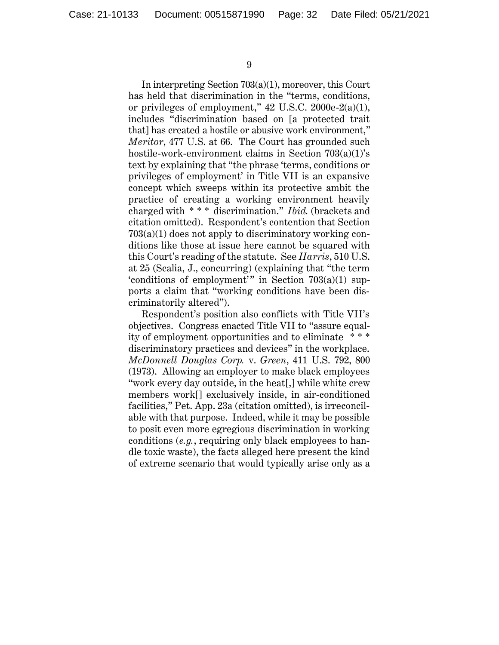In interpreting Section 703(a)(1), moreover, this Court has held that discrimination in the "terms, conditions, or privileges of employment," 42 U.S.C. 2000e-2(a)(1), includes "discrimination based on [a protected trait that] has created a hostile or abusive work environment," *Meritor*, 477 U.S. at 66. The Court has grounded such hostile-work-environment claims in Section 703(a)(1)'s text by explaining that "the phrase 'terms, conditions or privileges of employment' in Title VII is an expansive concept which sweeps within its protective ambit the practice of creating a working environment heavily charged with \* \* \* discrimination." *Ibid.* (brackets and citation omitted). Respondent's contention that Section 703(a)(1) does not apply to discriminatory working conditions like those at issue here cannot be squared with this Court's reading of the statute. See *Harris*, 510 U.S. at 25 (Scalia, J., concurring) (explaining that "the term 'conditions of employment'" in Section  $703(a)(1)$  supports a claim that "working conditions have been discriminatorily altered").

Respondent's position also conflicts with Title VII's objectives. Congress enacted Title VII to "assure equality of employment opportunities and to eliminate \* \* \* discriminatory practices and devices" in the workplace. *McDonnell Douglas Corp.* v. *Green*, 411 U.S. 792, 800 (1973). Allowing an employer to make black employees "work every day outside, in the heat[,] while white crew members work[] exclusively inside, in air-conditioned facilities," Pet. App. 23a (citation omitted), is irreconcilable with that purpose. Indeed, while it may be possible to posit even more egregious discrimination in working conditions (*e.g.*, requiring only black employees to handle toxic waste), the facts alleged here present the kind of extreme scenario that would typically arise only as a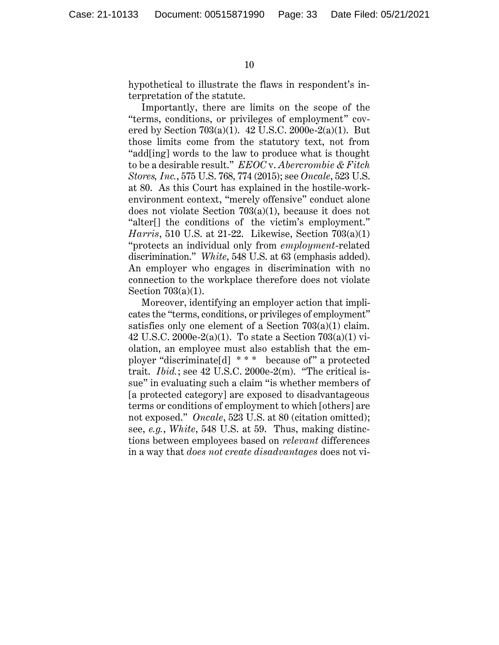hypothetical to illustrate the flaws in respondent's interpretation of the statute.

Importantly, there are limits on the scope of the "terms, conditions, or privileges of employment" covered by Section 703(a)(1). 42 U.S.C. 2000e-2(a)(1). But those limits come from the statutory text, not from "add[ing] words to the law to produce what is thought to be a desirable result." *EEOC* v. *Abercrombie & Fitch Stores, Inc.*, 575 U.S. 768, 774 (2015); see *Oncale*, 523 U.S. at 80. As this Court has explained in the hostile-workenvironment context, "merely offensive" conduct alone does not violate Section 703(a)(1), because it does not "alter[] the conditions of the victim's employment." *Harris*, 510 U.S. at 21-22. Likewise, Section 703(a)(1) "protects an individual only from *employment*-related discrimination." *White*, 548 U.S. at 63 (emphasis added). An employer who engages in discrimination with no connection to the workplace therefore does not violate Section 703(a)(1).

Moreover, identifying an employer action that implicates the "terms, conditions, or privileges of employment" satisfies only one element of a Section 703(a)(1) claim. 42 U.S.C. 2000e-2(a)(1). To state a Section 703(a)(1) violation, an employee must also establish that the employer "discriminate[d] \* \* \* because of" a protected trait. *Ibid.*; see 42 U.S.C. 2000e-2(m). "The critical issue" in evaluating such a claim "is whether members of [a protected category] are exposed to disadvantageous terms or conditions of employment to which [others] are not exposed." *Oncale*, 523 U.S. at 80 (citation omitted); see, *e.g.*, *White*, 548 U.S. at 59. Thus, making distinctions between employees based on *relevant* differences in a way that *does not create disadvantages* does not vi-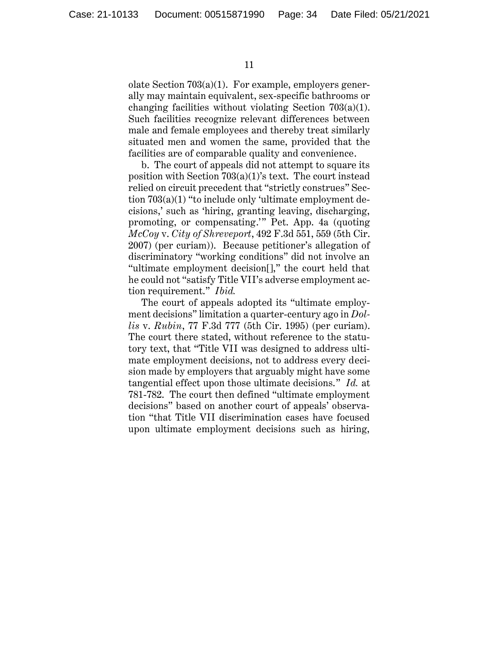olate Section 703(a)(1). For example, employers generally may maintain equivalent, sex-specific bathrooms or changing facilities without violating Section 703(a)(1). Such facilities recognize relevant differences between male and female employees and thereby treat similarly situated men and women the same, provided that the facilities are of comparable quality and convenience.

b. The court of appeals did not attempt to square its position with Section 703(a)(1)'s text. The court instead relied on circuit precedent that "strictly construes" Section 703(a)(1) "to include only 'ultimate employment decisions,' such as 'hiring, granting leaving, discharging, promoting, or compensating.'" Pet. App. 4a (quoting *McCoy* v. *City of Shreveport*, 492 F.3d 551, 559 (5th Cir. 2007) (per curiam)). Because petitioner's allegation of discriminatory "working conditions" did not involve an "ultimate employment decision[]," the court held that he could not "satisfy Title VII's adverse employment action requirement." *Ibid.*

The court of appeals adopted its "ultimate employment decisions" limitation a quarter-century ago in *Dollis* v. *Rubin*, 77 F.3d 777 (5th Cir. 1995) (per curiam). The court there stated, without reference to the statutory text, that "Title VII was designed to address ultimate employment decisions, not to address every decision made by employers that arguably might have some tangential effect upon those ultimate decisions." *Id.* at 781-782. The court then defined "ultimate employment decisions" based on another court of appeals' observation "that Title VII discrimination cases have focused upon ultimate employment decisions such as hiring,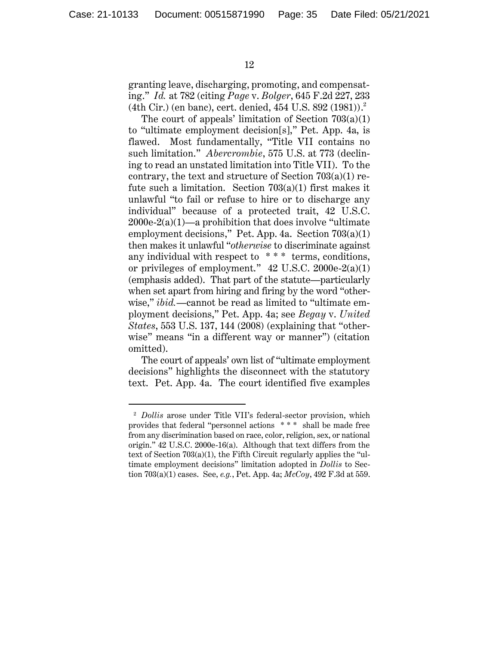$\ddot{\phantom{a}}$ 

granting leave, discharging, promoting, and compensating." *Id.* at 782 (citing *Page* v. *Bolger*, 645 F.2d 227, 233 (4th Cir.) (en banc), cert. denied, 454 U.S. 892 (1981)). 2

The court of appeals' limitation of Section  $703(a)(1)$ to "ultimate employment decision[s]," Pet. App. 4a, is flawed. Most fundamentally, "Title VII contains no such limitation." *Abercrombie*, 575 U.S. at 773 (declining to read an unstated limitation into Title VII). To the contrary, the text and structure of Section 703(a)(1) refute such a limitation. Section  $703(a)(1)$  first makes it unlawful "to fail or refuse to hire or to discharge any individual" because of a protected trait, 42 U.S.C.  $2000e-2(a)(1)$ —a prohibition that does involve "ultimate" employment decisions," Pet. App. 4a. Section 703(a)(1) then makes it unlawful "*otherwise* to discriminate against any individual with respect to \* \* \* terms, conditions, or privileges of employment." 42 U.S.C. 2000e-2(a)(1) (emphasis added). That part of the statute—particularly when set apart from hiring and firing by the word "otherwise," *ibid.*—cannot be read as limited to "ultimate employment decisions," Pet. App. 4a; see *Begay* v. *United States*, 553 U.S. 137, 144 (2008) (explaining that "otherwise" means "in a different way or manner") (citation omitted).

The court of appeals' own list of "ultimate employment decisions" highlights the disconnect with the statutory text. Pet. App. 4a. The court identified five examples

<sup>&</sup>lt;sup>2</sup> *Dollis* arose under Title VII's federal-sector provision, which provides that federal "personnel actions \* \* \* shall be made free from any discrimination based on race, color, religion, sex, or national origin." 42 U.S.C. 2000e-16(a). Although that text differs from the text of Section 703(a)(1), the Fifth Circuit regularly applies the "ultimate employment decisions" limitation adopted in *Dollis* to Section 703(a)(1) cases. See, *e.g.*, Pet. App. 4a; *McCoy*, 492 F.3d at 559.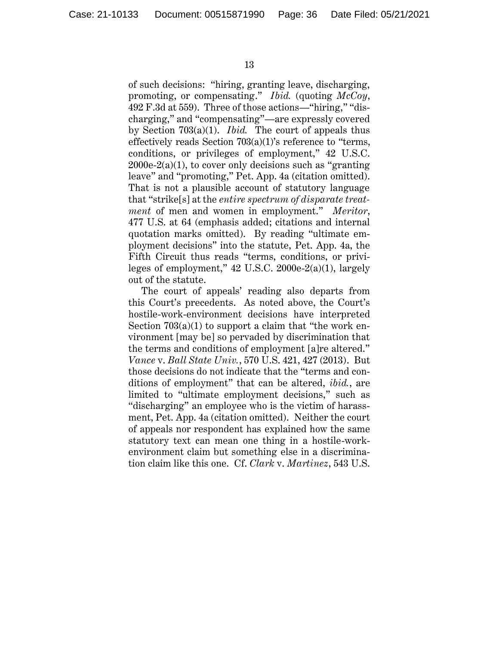of such decisions: "hiring, granting leave, discharging, promoting, or compensating." *Ibid.* (quoting *McCoy*, 492 F.3d at 559). Three of those actions—"hiring," "discharging," and "compensating"—are expressly covered by Section 703(a)(1). *Ibid.* The court of appeals thus effectively reads Section 703(a)(1)'s reference to "terms, conditions, or privileges of employment," 42 U.S.C.  $2000e-2(a)(1)$ , to cover only decisions such as "granting" leave" and "promoting," Pet. App. 4a (citation omitted). That is not a plausible account of statutory language that "strike[s] at the *entire spectrum of disparate treatment* of men and women in employment." *Meritor*, 477 U.S. at 64 (emphasis added; citations and internal quotation marks omitted). By reading "ultimate employment decisions" into the statute, Pet. App. 4a, the Fifth Circuit thus reads "terms, conditions, or privileges of employment," 42 U.S.C. 2000e-2(a)(1), largely out of the statute.

The court of appeals' reading also departs from this Court's precedents. As noted above, the Court's hostile-work-environment decisions have interpreted Section 703(a)(1) to support a claim that "the work environment [may be] so pervaded by discrimination that the terms and conditions of employment [a]re altered." *Vance* v. *Ball State Univ.*, 570 U.S. 421, 427 (2013). But those decisions do not indicate that the "terms and conditions of employment" that can be altered, *ibid.*, are limited to "ultimate employment decisions," such as "discharging" an employee who is the victim of harassment, Pet. App. 4a (citation omitted). Neither the court of appeals nor respondent has explained how the same statutory text can mean one thing in a hostile-workenvironment claim but something else in a discrimination claim like this one. Cf. *Clark* v. *Martinez*, 543 U.S.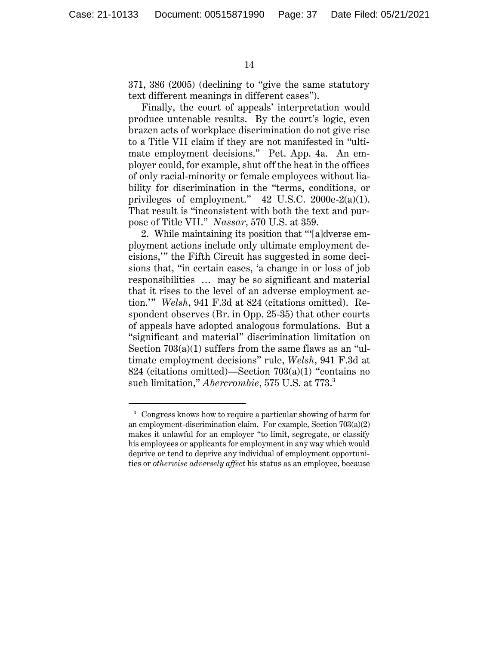371, 386 (2005) (declining to "give the same statutory text different meanings in different cases").

Finally, the court of appeals' interpretation would produce untenable results. By the court's logic, even brazen acts of workplace discrimination do not give rise to a Title VII claim if they are not manifested in "ultimate employment decisions." Pet. App. 4a. An employer could, for example, shut off the heat in the offices of only racial-minority or female employees without liability for discrimination in the "terms, conditions, or privileges of employment."  $42 \text{ U.S.C. } 2000 \text{e-}2(a)(1)$ . That result is "inconsistent with both the text and purpose of Title VII." *Nassar*, 570 U.S. at 359.

2. While maintaining its position that "'[a]dverse employment actions include only ultimate employment decisions,'" the Fifth Circuit has suggested in some decisions that, "in certain cases, 'a change in or loss of job responsibilities … may be so significant and material that it rises to the level of an adverse employment action.'" *Welsh*, 941 F.3d at 824 (citations omitted). Respondent observes (Br. in Opp. 25-35) that other courts of appeals have adopted analogous formulations. But a "significant and material" discrimination limitation on Section 703(a)(1) suffers from the same flaws as an "ultimate employment decisions" rule, *Welsh*, 941 F.3d at 824 (citations omitted)—Section 703(a)(1) "contains no such limitation," *Abercrombie*, 575 U.S. at 773. 3

<sup>&</sup>lt;sup>3</sup> Congress knows how to require a particular showing of harm for an employment-discrimination claim. For example, Section 703(a)(2) makes it unlawful for an employer "to limit, segregate, or classify his employees or applicants for employment in any way which would deprive or tend to deprive any individual of employment opportunities or *otherwise adversely affect* his status as an employee, because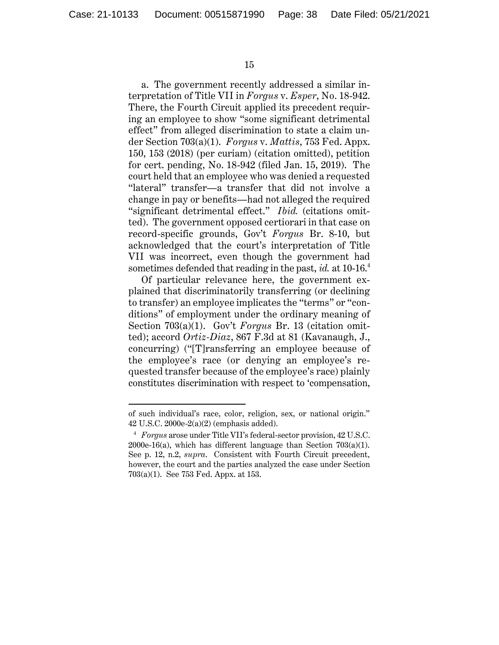15

a. The government recently addressed a similar interpretation of Title VII in *Forgus* v. *Esper*, No. 18-942. There, the Fourth Circuit applied its precedent requiring an employee to show "some significant detrimental effect" from alleged discrimination to state a claim under Section 703(a)(1). *Forgus* v. *Mattis*, 753 Fed. Appx. 150, 153 (2018) (per curiam) (citation omitted), petition for cert. pending, No. 18-942 (filed Jan. 15, 2019). The court held that an employee who was denied a requested "lateral" transfer—a transfer that did not involve a change in pay or benefits—had not alleged the required "significant detrimental effect." *Ibid.* (citations omitted). The government opposed certiorari in that case on record-specific grounds, Gov't *Forgus* Br. 8-10, but acknowledged that the court's interpretation of Title VII was incorrect, even though the government had sometimes defended that reading in the past, *id.* at 10-16. 4

Of particular relevance here, the government explained that discriminatorily transferring (or declining to transfer) an employee implicates the "terms" or "conditions" of employment under the ordinary meaning of Section 703(a)(1). Gov't *Forgus* Br. 13 (citation omitted); accord *Ortiz-Diaz*, 867 F.3d at 81 (Kavanaugh, J., concurring) ("[T]ransferring an employee because of the employee's race (or denying an employee's requested transfer because of the employee's race) plainly constitutes discrimination with respect to 'compensation,

of such individual's race, color, religion, sex, or national origin." 42 U.S.C. 2000e-2(a)(2) (emphasis added).

<sup>4</sup> *Forgus* arose under Title VII's federal-sector provision, 42 U.S.C. 2000e-16(a), which has different language than Section  $703(a)(1)$ . See p. 12, n.2, *supra*. Consistent with Fourth Circuit precedent, however, the court and the parties analyzed the case under Section 703(a)(1). See 753 Fed. Appx. at 153.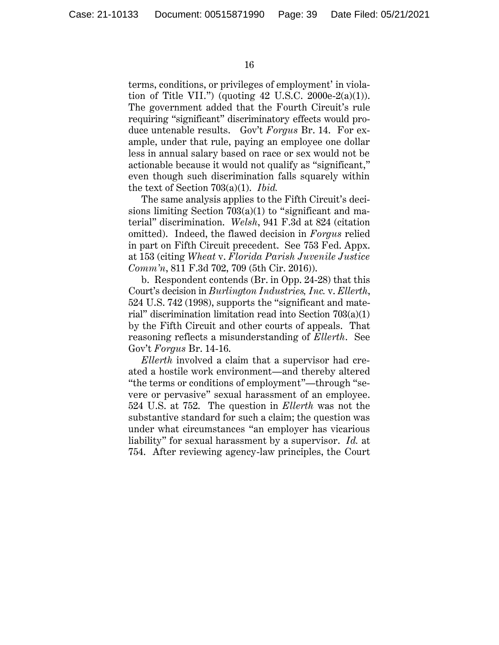terms, conditions, or privileges of employment' in violation of Title VII.") (quoting  $42 \text{ U.S.C. } 2000 \text{e-}2(a)(1)$ ). The government added that the Fourth Circuit's rule requiring "significant" discriminatory effects would produce untenable results. Gov't *Forgus* Br. 14. For example, under that rule, paying an employee one dollar less in annual salary based on race or sex would not be actionable because it would not qualify as "significant," even though such discrimination falls squarely within the text of Section 703(a)(1). *Ibid.*

The same analysis applies to the Fifth Circuit's decisions limiting Section 703(a)(1) to "significant and material" discrimination. *Welsh*, 941 F.3d at 824 (citation omitted). Indeed, the flawed decision in *Forgus* relied in part on Fifth Circuit precedent. See 753 Fed. Appx. at 153 (citing *Wheat* v. *Florida Parish Juvenile Justice Comm'n*, 811 F.3d 702, 709 (5th Cir. 2016)).

b. Respondent contends (Br. in Opp. 24-28) that this Court's decision in *Burlington Industries, Inc.* v. *Ellerth*, 524 U.S. 742 (1998), supports the "significant and material" discrimination limitation read into Section  $703(a)(1)$ by the Fifth Circuit and other courts of appeals. That reasoning reflects a misunderstanding of *Ellerth*. See Gov't *Forgus* Br. 14-16.

*Ellerth* involved a claim that a supervisor had created a hostile work environment—and thereby altered "the terms or conditions of employment"—through "severe or pervasive" sexual harassment of an employee. 524 U.S. at 752. The question in *Ellerth* was not the substantive standard for such a claim; the question was under what circumstances "an employer has vicarious liability" for sexual harassment by a supervisor. *Id.* at 754. After reviewing agency-law principles, the Court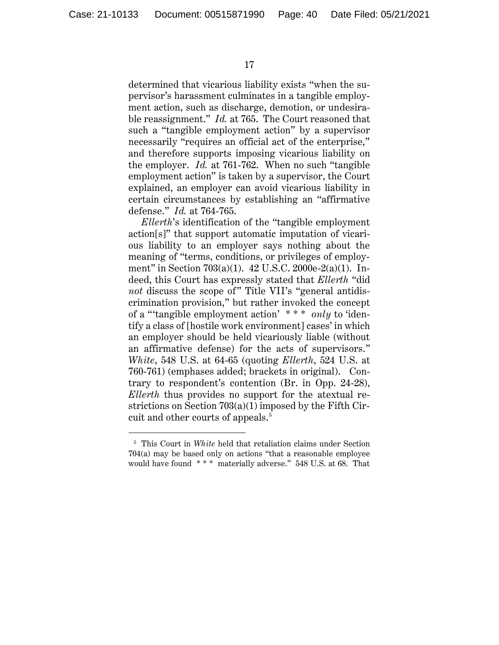determined that vicarious liability exists "when the supervisor's harassment culminates in a tangible employment action, such as discharge, demotion, or undesirable reassignment." *Id.* at 765. The Court reasoned that such a "tangible employment action" by a supervisor necessarily "requires an official act of the enterprise," and therefore supports imposing vicarious liability on the employer. *Id.* at 761-762. When no such "tangible employment action" is taken by a supervisor, the Court explained, an employer can avoid vicarious liability in certain circumstances by establishing an "affirmative defense." *Id.* at 764-765.

*Ellerth*'s identification of the "tangible employment action[s]" that support automatic imputation of vicarious liability to an employer says nothing about the meaning of "terms, conditions, or privileges of employment" in Section 703(a)(1). 42 U.S.C. 2000e-2(a)(1). Indeed, this Court has expressly stated that *Ellerth* "did *not* discuss the scope of" Title VII's "general antidiscrimination provision," but rather invoked the concept of a "'tangible employment action' \* \* \* *only* to 'identify a class of [hostile work environment] cases' in which an employer should be held vicariously liable (without an affirmative defense) for the acts of supervisors." *White*, 548 U.S. at 64-65 (quoting *Ellerth*, 524 U.S. at 760-761) (emphases added; brackets in original). Contrary to respondent's contention (Br. in Opp. 24-28), *Ellerth* thus provides no support for the atextual restrictions on Section 703(a)(1) imposed by the Fifth Circuit and other courts of appeals.<sup>5</sup>

<sup>&</sup>lt;sup>5</sup> This Court in *White* held that retaliation claims under Section 704(a) may be based only on actions "that a reasonable employee would have found \* \* \* materially adverse." 548 U.S. at 68. That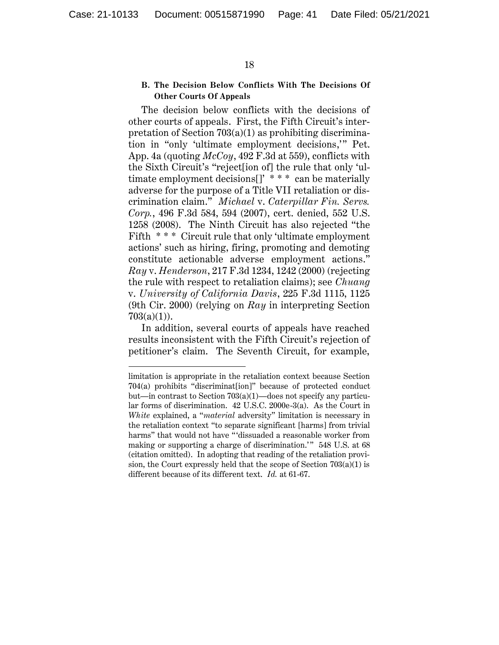# **B. The Decision Below Conflicts With The Decisions Of Other Courts Of Appeals**

The decision below conflicts with the decisions of other courts of appeals. First, the Fifth Circuit's interpretation of Section  $703(a)(1)$  as prohibiting discrimination in "only 'ultimate employment decisions,'" Pet. App. 4a (quoting *McCoy*, 492 F.3d at 559), conflicts with the Sixth Circuit's "reject[ion of] the rule that only 'ultimate employment decisions[]' \* \* \* can be materially adverse for the purpose of a Title VII retaliation or discrimination claim." *Michael* v. *Caterpillar Fin. Servs. Corp.*, 496 F.3d 584, 594 (2007), cert. denied, 552 U.S. 1258 (2008). The Ninth Circuit has also rejected "the Fifth \* \* \* Circuit rule that only 'ultimate employment actions' such as hiring, firing, promoting and demoting constitute actionable adverse employment actions." *Ray* v. *Henderson*, 217 F.3d 1234, 1242 (2000) (rejecting the rule with respect to retaliation claims); see *Chuang* v. *University of California Davis*, 225 F.3d 1115, 1125 (9th Cir. 2000) (relying on *Ray* in interpreting Section  $703(a)(1)$ ).

In addition, several courts of appeals have reached results inconsistent with the Fifth Circuit's rejection of petitioner's claim. The Seventh Circuit, for example,

limitation is appropriate in the retaliation context because Section 704(a) prohibits "discriminat[ion]" because of protected conduct but—in contrast to Section 703(a)(1)—does not specify any particular forms of discrimination. 42 U.S.C. 2000e-3(a). As the Court in *White* explained, a "*material* adversity" limitation is necessary in the retaliation context "to separate significant [harms] from trivial harms" that would not have "'dissuaded a reasonable worker from making or supporting a charge of discrimination.'" 548 U.S. at 68 (citation omitted). In adopting that reading of the retaliation provision, the Court expressly held that the scope of Section 703(a)(1) is different because of its different text. *Id.* at 61-67.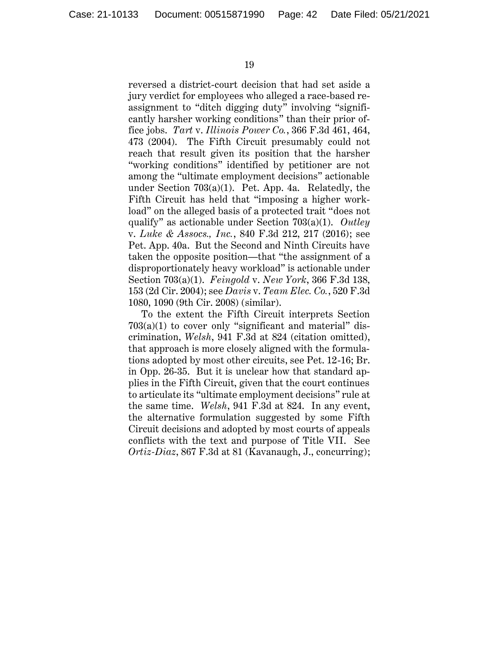reversed a district-court decision that had set aside a jury verdict for employees who alleged a race-based reassignment to "ditch digging duty" involving "significantly harsher working conditions" than their prior office jobs. *Tart* v. *Illinois Power Co.*, 366 F.3d 461, 464, 473 (2004). The Fifth Circuit presumably could not reach that result given its position that the harsher "working conditions" identified by petitioner are not among the "ultimate employment decisions" actionable under Section 703(a)(1). Pet. App. 4a. Relatedly, the Fifth Circuit has held that "imposing a higher workload" on the alleged basis of a protected trait "does not qualify" as actionable under Section 703(a)(1). *Outley* v. *Luke & Assocs., Inc.*, 840 F.3d 212, 217 (2016); see Pet. App. 40a. But the Second and Ninth Circuits have taken the opposite position—that "the assignment of a disproportionately heavy workload" is actionable under Section 703(a)(1). *Feingold* v. *New York*, 366 F.3d 138, 153 (2d Cir. 2004); see *Davis* v. *Team Elec. Co.*, 520 F.3d 1080, 1090 (9th Cir. 2008) (similar).

To the extent the Fifth Circuit interprets Section  $703(a)(1)$  to cover only "significant and material" discrimination, *Welsh*, 941 F.3d at 824 (citation omitted), that approach is more closely aligned with the formulations adopted by most other circuits, see Pet. 12-16; Br. in Opp. 26-35. But it is unclear how that standard applies in the Fifth Circuit, given that the court continues to articulate its "ultimate employment decisions" rule at the same time. *Welsh*, 941 F.3d at 824. In any event, the alternative formulation suggested by some Fifth Circuit decisions and adopted by most courts of appeals conflicts with the text and purpose of Title VII. See *Ortiz-Diaz*, 867 F.3d at 81 (Kavanaugh, J., concurring);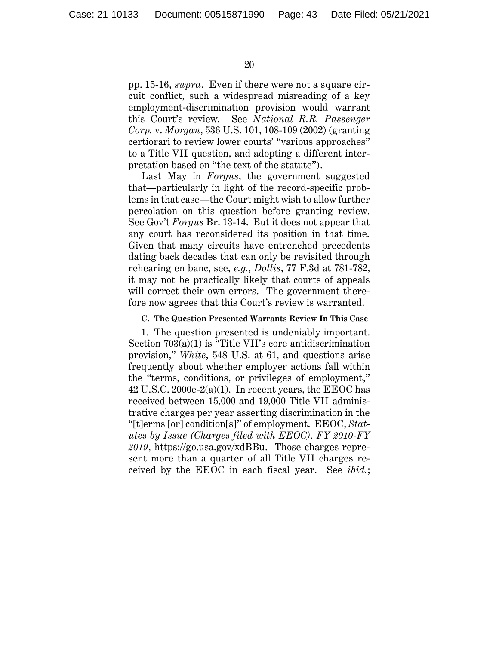pp. 15-16, *supra*. Even if there were not a square circuit conflict, such a widespread misreading of a key employment-discrimination provision would warrant this Court's review. See *National R.R. Passenger Corp.* v. *Morgan*, 536 U.S. 101, 108-109 (2002) (granting certiorari to review lower courts' "various approaches" to a Title VII question, and adopting a different interpretation based on "the text of the statute").

Last May in *Forgus*, the government suggested that—particularly in light of the record-specific problems in that case—the Court might wish to allow further percolation on this question before granting review. See Gov't *Forgus* Br. 13-14. But it does not appear that any court has reconsidered its position in that time. Given that many circuits have entrenched precedents dating back decades that can only be revisited through rehearing en banc, see, *e.g.*, *Dollis*, 77 F.3d at 781-782, it may not be practically likely that courts of appeals will correct their own errors. The government therefore now agrees that this Court's review is warranted.

#### **C. The Question Presented Warrants Review In This Case**

1. The question presented is undeniably important. Section 703(a)(1) is "Title VII's core antidiscrimination provision," *White*, 548 U.S. at 61, and questions arise frequently about whether employer actions fall within the "terms, conditions, or privileges of employment,"  $42$  U.S.C. 2000e-2(a)(1). In recent years, the EEOC has received between 15,000 and 19,000 Title VII administrative charges per year asserting discrimination in the "[t]erms [or] condition[s]" of employment. EEOC, *Statutes by Issue (Charges filed with EEOC), FY 2010-FY 2019*, https://go.usa.gov/xdBBu. Those charges represent more than a quarter of all Title VII charges received by the EEOC in each fiscal year. See *ibid.*;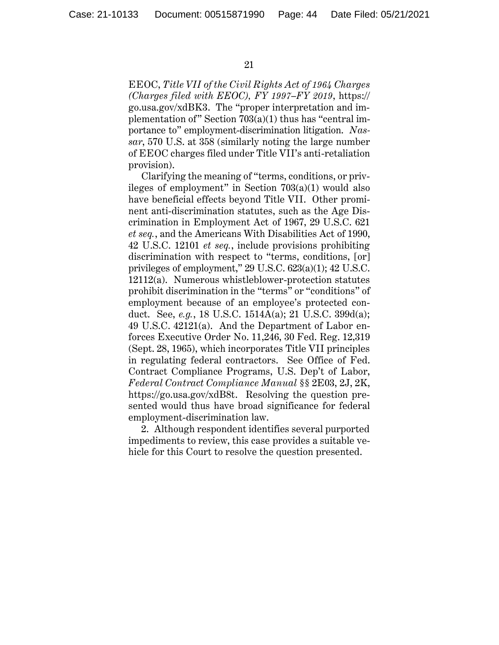EEOC, *Title VII of the Civil Rights Act of 1964 Charges (Charges filed with EEOC), FY 1997–FY 2019*, https:// go.usa.gov/xdBK3. The "proper interpretation and implementation of" Section 703(a)(1) thus has "central importance to" employment-discrimination litigation. *Nassar*, 570 U.S. at 358 (similarly noting the large number of EEOC charges filed under Title VII's anti-retaliation provision).

Clarifying the meaning of "terms, conditions, or privileges of employment" in Section  $703(a)(1)$  would also have beneficial effects beyond Title VII. Other prominent anti-discrimination statutes, such as the Age Discrimination in Employment Act of 1967, 29 U.S.C. 621 *et seq.*, and the Americans With Disabilities Act of 1990, 42 U.S.C. 12101 *et seq.*, include provisions prohibiting discrimination with respect to "terms, conditions, [or] privileges of employment," 29 U.S.C. 623(a)(1); 42 U.S.C. 12112(a). Numerous whistleblower-protection statutes prohibit discrimination in the "terms" or "conditions" of employment because of an employee's protected conduct. See, *e.g.*, 18 U.S.C. 1514A(a); 21 U.S.C. 399d(a); 49 U.S.C. 42121(a). And the Department of Labor enforces Executive Order No. 11,246, 30 Fed. Reg. 12,319 (Sept. 28, 1965), which incorporates Title VII principles in regulating federal contractors. See Office of Fed. Contract Compliance Programs, U.S. Dep't of Labor, *Federal Contract Compliance Manual* §§ 2E03, 2J, 2K, https://go.usa.gov/xdB8t. Resolving the question presented would thus have broad significance for federal employment-discrimination law.

2. Although respondent identifies several purported impediments to review, this case provides a suitable vehicle for this Court to resolve the question presented.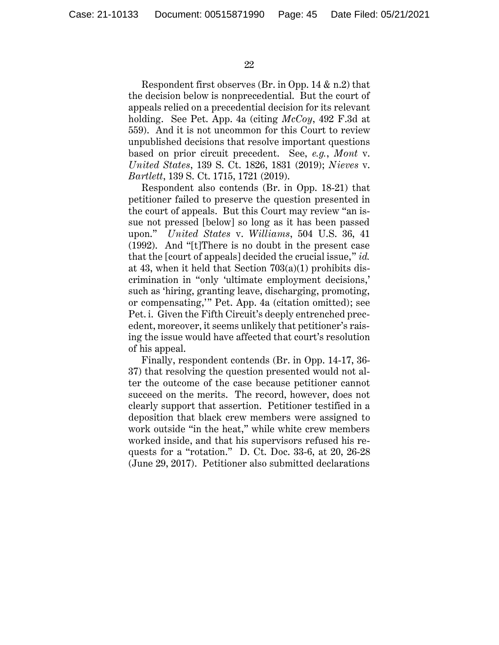Respondent first observes (Br. in Opp. 14 & n.2) that the decision below is nonprecedential. But the court of appeals relied on a precedential decision for its relevant holding. See Pet. App. 4a (citing *McCoy*, 492 F.3d at 559). And it is not uncommon for this Court to review unpublished decisions that resolve important questions based on prior circuit precedent. See, *e.g.*, *Mont* v. *United States*, 139 S. Ct. 1826, 1831 (2019); *Nieves* v. *Bartlett*, 139 S. Ct. 1715, 1721 (2019).

Respondent also contends (Br. in Opp. 18-21) that petitioner failed to preserve the question presented in the court of appeals. But this Court may review "an issue not pressed [below] so long as it has been passed upon." *United States* v. *Williams*, 504 U.S. 36, 41 (1992). And "[t]There is no doubt in the present case that the [court of appeals] decided the crucial issue," *id.*  at 43, when it held that Section 703(a)(1) prohibits discrimination in "only 'ultimate employment decisions,' such as 'hiring, granting leave, discharging, promoting, or compensating,'" Pet. App. 4a (citation omitted); see Pet. i. Given the Fifth Circuit's deeply entrenched precedent, moreover, it seems unlikely that petitioner's raising the issue would have affected that court's resolution of his appeal.

Finally, respondent contends (Br. in Opp. 14-17, 36- 37) that resolving the question presented would not alter the outcome of the case because petitioner cannot succeed on the merits. The record, however, does not clearly support that assertion. Petitioner testified in a deposition that black crew members were assigned to work outside "in the heat," while white crew members worked inside, and that his supervisors refused his requests for a "rotation." D. Ct. Doc. 33-6, at 20, 26-28 (June 29, 2017). Petitioner also submitted declarations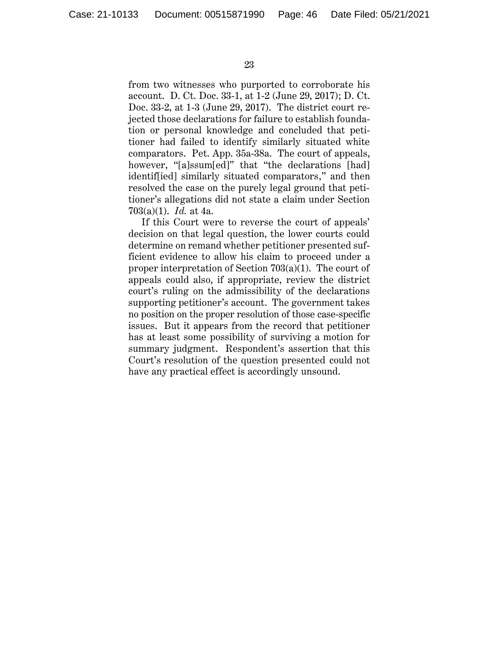from two witnesses who purported to corroborate his account. D. Ct. Doc. 33-1, at 1-2 (June 29, 2017); D. Ct. Doc. 33-2, at 1-3 (June 29, 2017). The district court rejected those declarations for failure to establish foundation or personal knowledge and concluded that petitioner had failed to identify similarly situated white comparators. Pet. App. 35a-38a. The court of appeals, however, "[a]ssum[ed]" that "the declarations [had] identif[ied] similarly situated comparators," and then resolved the case on the purely legal ground that petitioner's allegations did not state a claim under Section 703(a)(1). *Id.* at 4a.

If this Court were to reverse the court of appeals' decision on that legal question, the lower courts could determine on remand whether petitioner presented sufficient evidence to allow his claim to proceed under a proper interpretation of Section 703(a)(1). The court of appeals could also, if appropriate, review the district court's ruling on the admissibility of the declarations supporting petitioner's account. The government takes no position on the proper resolution of those case-specific issues. But it appears from the record that petitioner has at least some possibility of surviving a motion for summary judgment. Respondent's assertion that this Court's resolution of the question presented could not have any practical effect is accordingly unsound.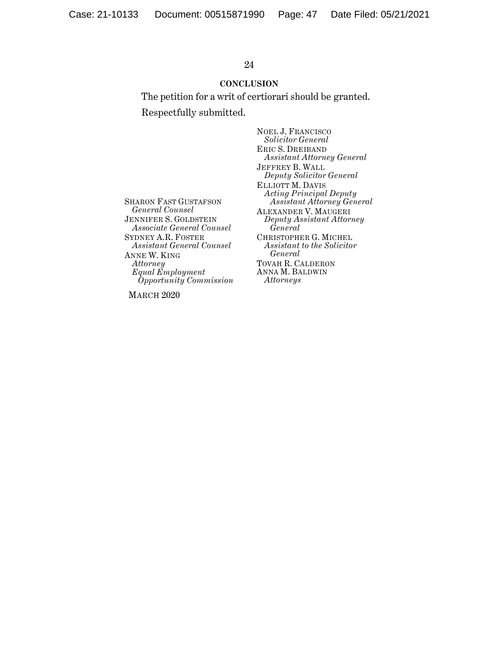# **CONCLUSION**

The petition for a writ of certiorari should be granted. Respectfully submitted.

SHARON FAST GUSTAFSON *General Counsel* JENNIFER S. GOLDSTEIN *Associate General Counsel* SYDNEY A.R. FOSTER *Assistant General Counsel* ANNE W. KING *Attorney Equal Employment Opportunity Commission*

MARCH 2020

NOEL J. FRANCISCO *Solicitor General* ERIC S. DREIBAND *Assistant Attorney General* JEFFREY B. WALL *Deputy Solicitor General* ELLIOTT M. DAVIS *Acting Principal Deputy Assistant Attorney General* ALEXANDER V. MAUGERI *Deputy Assistant Attorney General* CHRISTOPHER G. MICHEL *Assistant to the Solicitor General*  TOVAH R. CALDERON ANNA M. BALDWIN *Attorneys*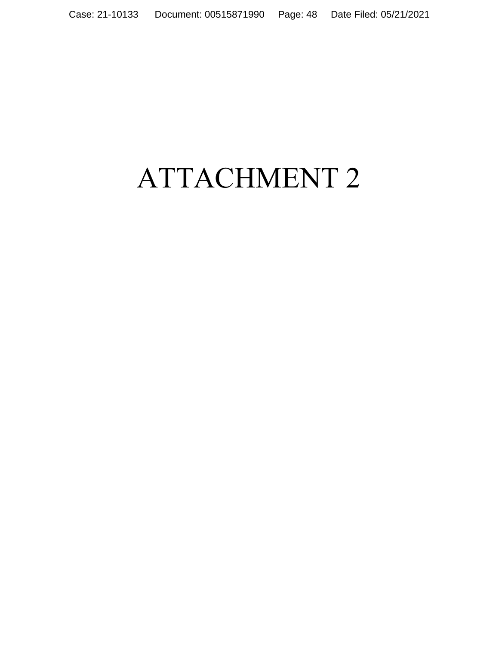# ATTACHMENT 2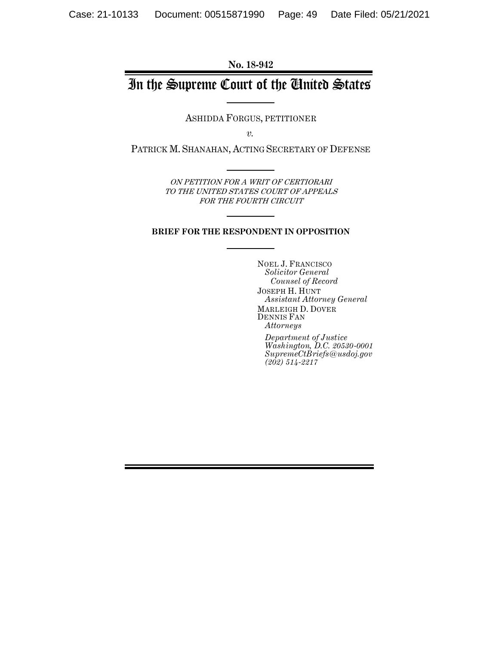**No. 18-942**

# In the Supreme Court of the United States

ASHIDDA FORGUS, PETITIONER

*v.*

PATRICK M. SHANAHAN, ACTING SECRETARY OF DEFENSE

ON PETITION FOR A WRIT OF CERTIORARI TO THE UNITED STATES COURT OF APPEALS FOR THE FOURTH CIRCUIT

#### **BRIEF FOR THE RESPONDENT IN OPPOSITION**

NOEL J. FRANCISCO *Solicitor General Counsel of Record* JOSEPH H. HUNT *Assistant Attorney General* MARLEIGH D. DOVER DENNIS FAN *Attorneys*

*Department of Justice Washington, D.C. 20530-0001 SupremeCtBriefs@usdoj.gov (202) 514-2217*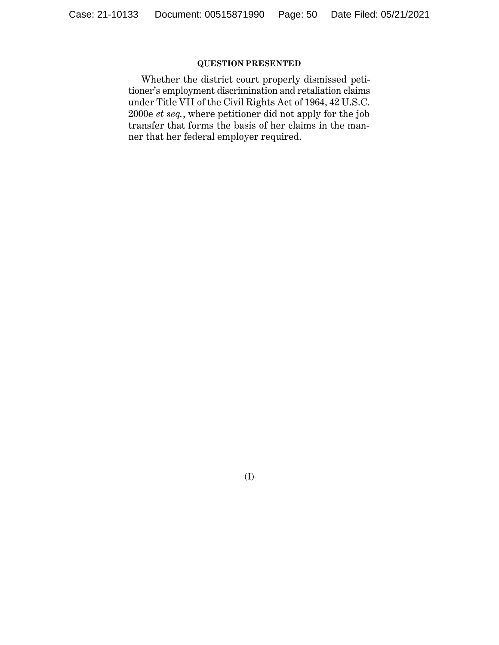# **QUESTION PRESENTED**

Whether the district court properly dismissed petitioner's employment discrimination and retaliation claims under Title VII of the Civil Rights Act of 1964, 42 U.S.C. 2000e *et seq.*, where petitioner did not apply for the job transfer that forms the basis of her claims in the manner that her federal employer required.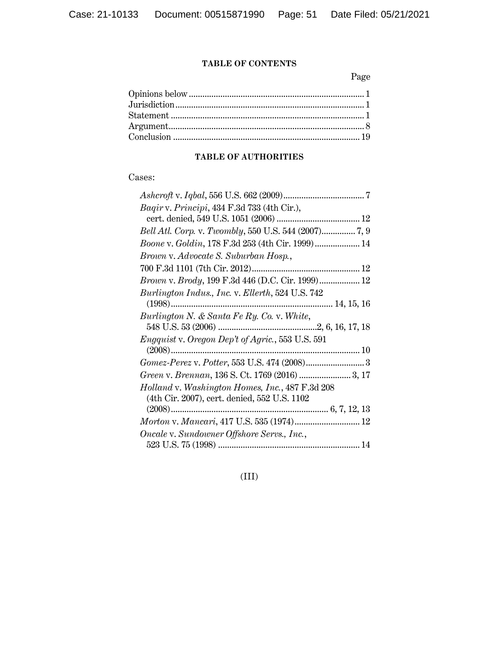# **TABLE OF CONTENTS**

Page

# **TABLE OF AUTHORITIES**

# Cases:

| Bagir v. Principi, 434 F.3d 733 (4th Cir.),              |
|----------------------------------------------------------|
|                                                          |
|                                                          |
| Boone v. Goldin, 178 F.3d 253 (4th Cir. 1999) 14         |
| Brown v. Advocate S. Suburban Hosp.,                     |
|                                                          |
| <i>Brown v. Brody</i> , 199 F.3d 446 (D.C. Cir. 1999) 12 |
| Burlington Indus., Inc. v. Ellerth, 524 U.S. 742         |
| $(1998)$                                                 |
| Burlington N. & Santa Fe Ry. Co. v. White,               |
|                                                          |
| <i>Engquist</i> v. Oregon Dep't of Agric., 553 U.S. 591  |
|                                                          |
|                                                          |
|                                                          |
| Holland v. Washington Homes, Inc., 487 F.3d 208          |
| (4th Cir. 2007), cert. denied, 552 U.S. 1102             |
|                                                          |
| Morton v. Mancari, 417 U.S. 535 (1974) 12                |
| Oncale v. Sundowner Offshore Servs., Inc.,               |
|                                                          |

(III)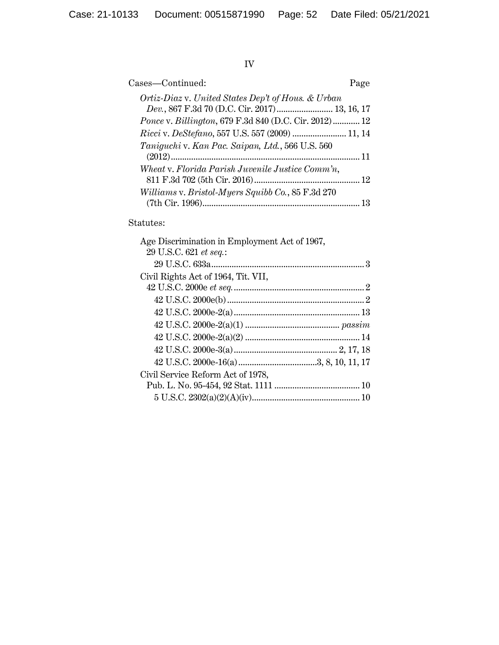# IV

| Cases—Continued:                                              | Page |
|---------------------------------------------------------------|------|
| Ortiz-Diaz v. United States Dep't of Hous. & Urban            |      |
| Dev., 867 F.3d 70 (D.C. Cir. 2017) 13, 16, 17                 |      |
| <i>Ponce v. Billington, 679 F.3d 840 (D.C. Cir. 2012) </i> 12 |      |
| Ricci v. DeStefano, 557 U.S. 557 (2009)  11, 14               |      |
| Taniguchi v. Kan Pac. Saipan, Ltd., 566 U.S. 560              |      |
|                                                               |      |
| Wheat v. Florida Parish Juvenile Justice Comm'n,              |      |
|                                                               |      |
| Williams v. Bristol-Myers Squibb Co., 85 F.3d 270             |      |
|                                                               |      |

# Statutes:

| Age Discrimination in Employment Act of 1967, |  |
|-----------------------------------------------|--|
| 29 U.S.C. 621 et seq.:                        |  |
|                                               |  |
| Civil Rights Act of 1964, Tit. VII,           |  |
|                                               |  |
|                                               |  |
|                                               |  |
|                                               |  |
|                                               |  |
|                                               |  |
|                                               |  |
| Civil Service Reform Act of 1978,             |  |
|                                               |  |
|                                               |  |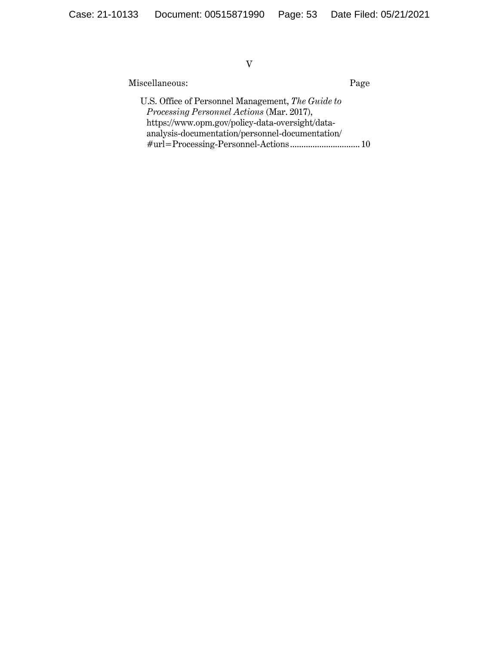V

Miscellaneous: Page

U.S. Office of Personnel Management, *The Guide to Processing Personnel Actions* (Mar. 2017), https://www.opm.gov/policy-data-oversight/dataanalysis-documentation/personnel-documentation/ #url=Processing-Personnel-Actions ............................... 10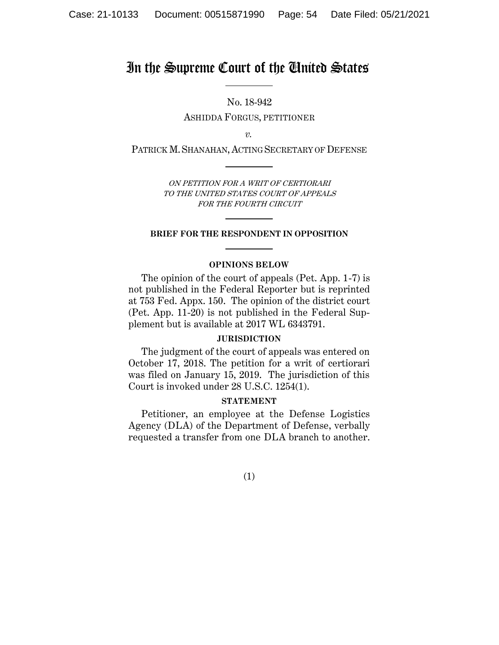# In the Supreme Court of the United States

No. 18-942 ASHIDDA FORGUS, PETITIONER

*v.*

PATRICK M.SHANAHAN, ACTING SECRETARY OF DEFENSE

ON PETITION FOR A WRIT OF CERTIORARI TO THE UNITED STATES COURT OF APPEALS FOR THE FOURTH CIRCUIT

# **BRIEF FOR THE RESPONDENT IN OPPOSITION**

## **OPINIONS BELOW**

The opinion of the court of appeals (Pet. App. 1-7) is not published in the Federal Reporter but is reprinted at 753 Fed. Appx. 150. The opinion of the district court (Pet. App. 11-20) is not published in the Federal Supplement but is available at 2017 WL 6343791.

### **JURISDICTION**

The judgment of the court of appeals was entered on October 17, 2018. The petition for a writ of certiorari was filed on January  $15$ , 2019. The jurisdiction of this Court is invoked under 28 U.S.C. 1254(1).

### **STATEMENT**

Petitioner, an employee at the Defense Logistics Agency (DLA) of the Department of Defense, verbally requested a transfer from one DLA branch to another.

(1)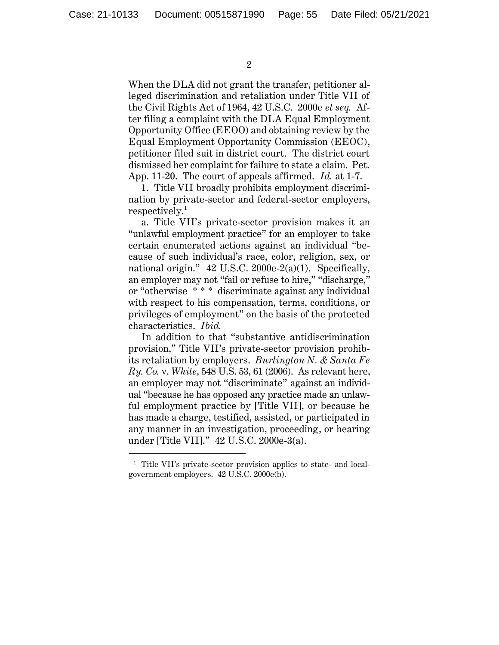2

When the DLA did not grant the transfer, petitioner alleged discrimination and retaliation under Title VII of the Civil Rights Act of 1964, 42 U.S.C. 2000e *et seq.* After filing a complaint with the DLA Equal Employment Opportunity Office (EEOO) and obtaining review by the Equal Employment Opportunity Commission (EEOC), petitioner filed suit in district court. The district court dismissed her complaint for failure to state a claim. Pet. App. 11-20. The court of appeals affirmed. *Id.* at 1-7.

1. Title VII broadly prohibits employment discrimination by private-sector and federal-sector employers,  $respectively.<sup>1</sup>$ 

a. Title VII's private-sector provision makes it an "unlawful employment practice" for an employer to take certain enumerated actions against an individual "because of such individual's race, color, religion, sex, or national origin." 42 U.S.C. 2000e-2(a)(1). Specifically, an employer may not "fail or refuse to hire," "discharge," or "otherwise \* \* \* discriminate against any individual with respect to his compensation, terms, conditions, or privileges of employment" on the basis of the protected characteristics. *Ibid.*

In addition to that "substantive antidiscrimination provision," Title VII's private-sector provision prohibits retaliation by employers. *Burlington N. & Santa Fe Ry. Co.* v. *White*, 548 U.S. 53, 61 (2006). As relevant here, an employer may not "discriminate" against an individual "because he has opposed any practice made an unlawful employment practice by [Title VII], or because he has made a charge, testified, assisted, or participated in any manner in an investigation, proceeding, or hearing under [Title VII]." 42 U.S.C. 2000e-3(a).

<sup>1</sup> Title VII's private-sector provision applies to state- and localgovernment employers. 42 U.S.C. 2000e(b).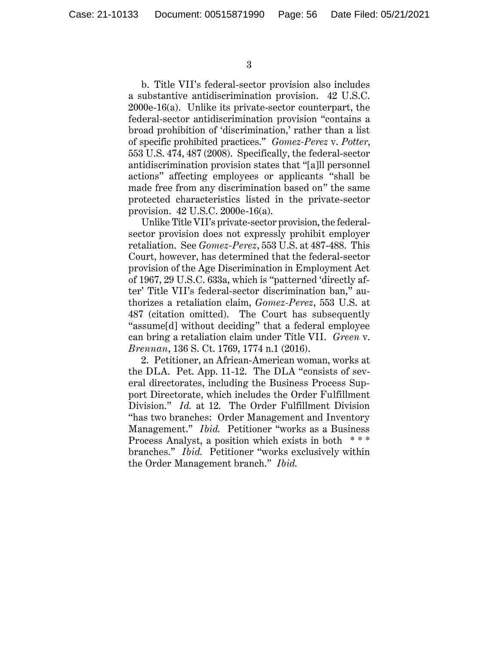b. Title VII's federal-sector provision also includes a substantive antidiscrimination provision. 42 U.S.C. 2000e-16(a). Unlike its private-sector counterpart, the federal-sector antidiscrimination provision "contains a broad prohibition of 'discrimination,' rather than a list of specific prohibited practices." *Gomez-Perez* v. *Potter*, 553 U.S. 474, 487 (2008). Specifically, the federal-sector antidiscrimination provision states that "[a]ll personnel actions" affecting employees or applicants "shall be made free from any discrimination based on" the same protected characteristics listed in the private-sector provision. 42 U.S.C. 2000e-16(a).

Unlike Title VII's private-sector provision, the federalsector provision does not expressly prohibit employer retaliation. See *Gomez-Perez*, 553 U.S. at 487-488. This Court, however, has determined that the federal-sector provision of the Age Discrimination in Employment Act of 1967, 29 U.S.C. 633a, which is "patterned 'directly after' Title VII's federal-sector discrimination ban," authorizes a retaliation claim, *Gomez-Perez*, 553 U.S. at 487 (citation omitted). The Court has subsequently "assume[d] without deciding" that a federal employee can bring a retaliation claim under Title VII. *Green* v. *Brennan*, 136 S. Ct. 1769, 1774 n.1 (2016).

2. Petitioner, an African-American woman, works at the DLA. Pet. App. 11-12. The DLA "consists of several directorates, including the Business Process Support Directorate, which includes the Order Fulfillment Division." *Id.* at 12. The Order Fulfillment Division "has two branches: Order Management and Inventory Management." *Ibid.* Petitioner "works as a Business Process Analyst, a position which exists in both \*\*\* branches." *Ibid.* Petitioner "works exclusively within the Order Management branch." *Ibid.*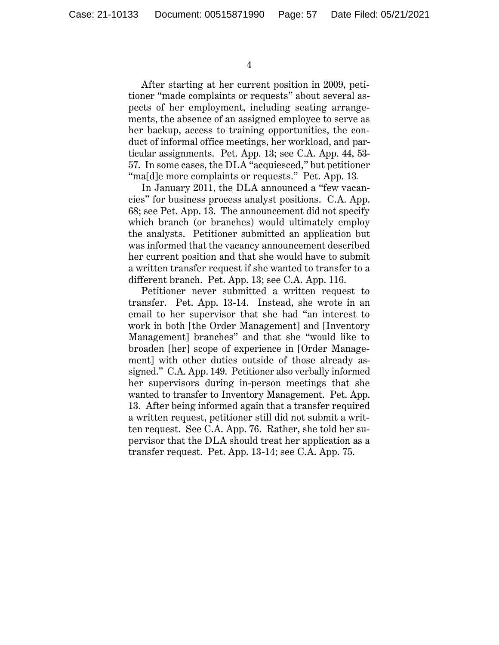After starting at her current position in 2009, petitioner "made complaints or requests" about several aspects of her employment, including seating arrangements, the absence of an assigned employee to serve as her backup, access to training opportunities, the conduct of informal office meetings, her workload, and particular assignments. Pet. App. 13; see C.A. App. 44, 53- 57. In some cases, the DLA "acquiesced," but petitioner "ma[d]e more complaints or requests." Pet. App. 13.

In January 2011, the DLA announced a "few vacancies" for business process analyst positions. C.A. App. 68; see Pet. App. 13. The announcement did not specify which branch (or branches) would ultimately employ the analysts. Petitioner submitted an application but was informed that the vacancy announcement described her current position and that she would have to submit a written transfer request if she wanted to transfer to a different branch. Pet. App. 13; see C.A. App. 116.

Petitioner never submitted a written request to transfer. Pet. App. 13-14. Instead, she wrote in an email to her supervisor that she had "an interest to work in both [the Order Management] and [Inventory Management] branches" and that she "would like to broaden [her] scope of experience in [Order Management] with other duties outside of those already assigned." C.A. App. 149. Petitioner also verbally informed her supervisors during in-person meetings that she wanted to transfer to Inventory Management. Pet. App. 13. After being informed again that a transfer required a written request, petitioner still did not submit a written request. See C.A. App. 76. Rather, she told her supervisor that the DLA should treat her application as a transfer request. Pet. App. 13-14; see C.A. App. 75.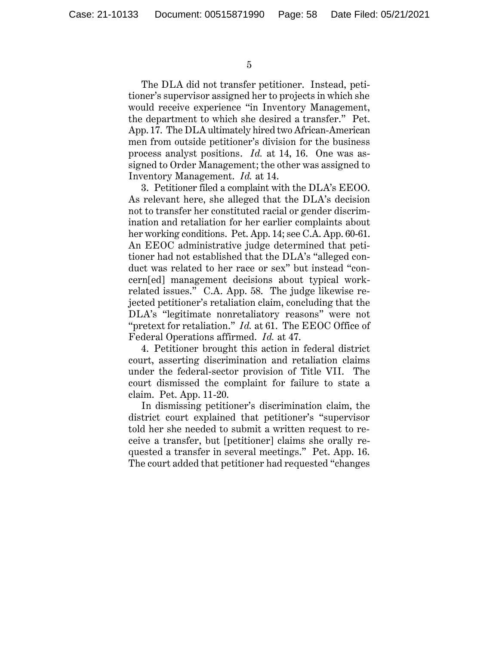The DLA did not transfer petitioner. Instead, petitioner's supervisor assigned her to projects in which she would receive experience "in Inventory Management, the department to which she desired a transfer." Pet. App. 17. The DLA ultimately hired two African-American men from outside petitioner's division for the business process analyst positions. *Id.* at 14, 16. One was assigned to Order Management; the other was assigned to Inventory Management. *Id.* at 14.

3. Petitioner filed a complaint with the DLA's EEOO. As relevant here, she alleged that the DLA's decision not to transfer her constituted racial or gender discrimination and retaliation for her earlier complaints about her working conditions. Pet. App. 14; see C.A. App. 60-61. An EEOC administrative judge determined that petitioner had not established that the DLA's "alleged conduct was related to her race or sex" but instead "concern[ed] management decisions about typical workrelated issues." C.A. App. 58. The judge likewise rejected petitioner's retaliation claim, concluding that the DLA's "legitimate nonretaliatory reasons" were not "pretext for retaliation." *Id.* at 61. The EEOC Office of Federal Operations affirmed. *Id.* at 47.

4. Petitioner brought this action in federal district court, asserting discrimination and retaliation claims under the federal-sector provision of Title VII. The court dismissed the complaint for failure to state a claim. Pet. App. 11-20.

In dismissing petitioner's discrimination claim, the district court explained that petitioner's "supervisor told her she needed to submit a written request to receive a transfer, but [petitioner] claims she orally requested a transfer in several meetings." Pet. App. 16. The court added that petitioner had requested "changes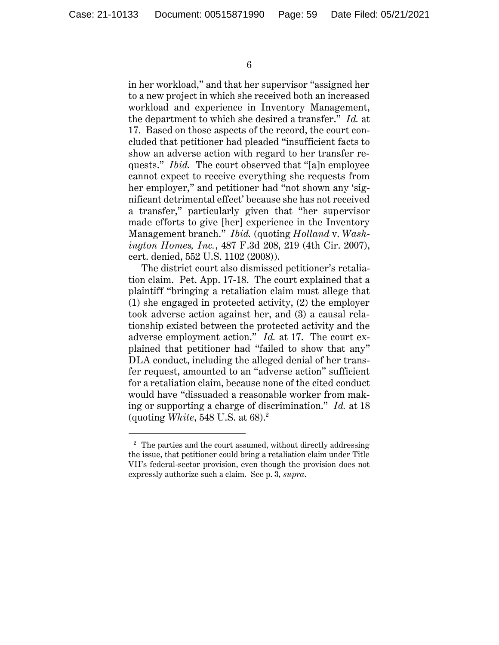6

in her workload," and that her supervisor "assigned her to a new project in which she received both an increased workload and experience in Inventory Management, the department to which she desired a transfer." *Id.* at 17. Based on those aspects of the record, the court concluded that petitioner had pleaded "insufficient facts to show an adverse action with regard to her transfer requests." *Ibid.* The court observed that "[a]n employee cannot expect to receive everything she requests from her employer," and petitioner had "not shown any 'significant detrimental effect' because she has not received a transfer," particularly given that "her supervisor made efforts to give [her] experience in the Inventory Management branch." *Ibid.* (quoting *Holland* v. *Washington Homes, Inc.*, 487 F.3d 208, 219 (4th Cir. 2007), cert. denied, 552 U.S. 1102 (2008)).

The district court also dismissed petitioner's retaliation claim. Pet. App. 17-18. The court explained that a plaintiff "bringing a retaliation claim must allege that (1) she engaged in protected activity, (2) the employer took adverse action against her, and (3) a causal relationship existed between the protected activity and the adverse employment action." *Id.* at 17. The court explained that petitioner had "failed to show that any" DLA conduct, including the alleged denial of her transfer request, amounted to an "adverse action" sufficient for a retaliation claim, because none of the cited conduct would have "dissuaded a reasonable worker from making or supporting a charge of discrimination." *Id.* at 18 (quoting *White*, 548 U.S. at 68).<sup>2</sup>

<sup>&</sup>lt;sup>2</sup> The parties and the court assumed, without directly addressing the issue, that petitioner could bring a retaliation claim under Title VII's federal-sector provision, even though the provision does not expressly authorize such a claim. See p. 3, *supra*.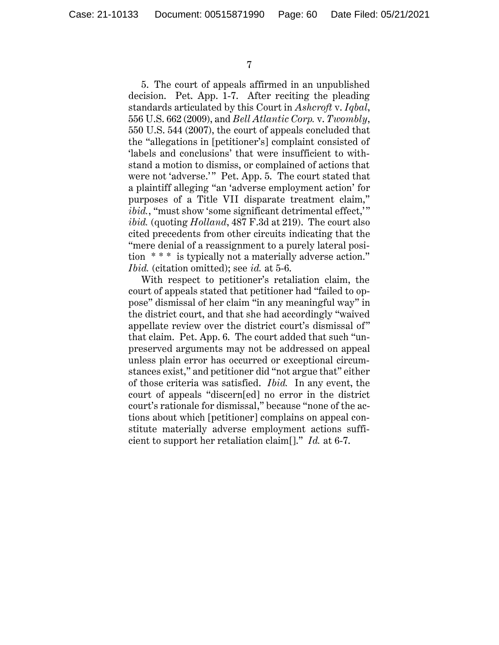5. The court of appeals affirmed in an unpublished decision. Pet. App. 1-7. After reciting the pleading standards articulated by this Court in *Ashcroft* v. *Iqbal*, 556 U.S. 662 (2009), and *Bell Atlantic Corp.* v. *Twombly*, 550 U.S. 544 (2007), the court of appeals concluded that the "allegations in [petitioner's] complaint consisted of 'labels and conclusions' that were insufficient to withstand a motion to dismiss, or complained of actions that were not 'adverse.'" Pet. App. 5. The court stated that a plaintiff alleging "an 'adverse employment action' for purposes of a Title VII disparate treatment claim," *ibid.*, "must show 'some significant detrimental effect," *ibid.* (quoting *Holland*, 487 F.3d at 219). The court also cited precedents from other circuits indicating that the "mere denial of a reassignment to a purely lateral position \* \* \* is typically not a materially adverse action." *Ibid.* (citation omitted); see *id.* at 5-6.

With respect to petitioner's retaliation claim, the court of appeals stated that petitioner had "failed to oppose" dismissal of her claim "in any meaningful way" in the district court, and that she had accordingly "waived appellate review over the district court's dismissal of" that claim. Pet. App. 6. The court added that such "unpreserved arguments may not be addressed on appeal unless plain error has occurred or exceptional circumstances exist," and petitioner did "not argue that" either of those criteria was satisfied. *Ibid.* In any event, the court of appeals "discern[ed] no error in the district court's rationale for dismissal," because "none of the actions about which [petitioner] complains on appeal constitute materially adverse employment actions sufficient to support her retaliation claim[]." *Id.* at 6-7.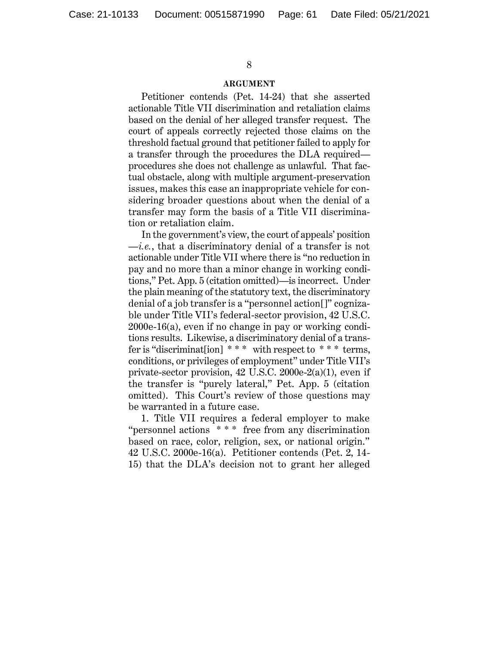#### **ARGUMENT**

Petitioner contends (Pet. 14-24) that she asserted actionable Title VII discrimination and retaliation claims based on the denial of her alleged transfer request. The court of appeals correctly rejected those claims on the threshold factual ground that petitioner failed to apply for a transfer through the procedures the DLA required procedures she does not challenge as unlawful. That factual obstacle, along with multiple argument-preservation issues, makes this case an inappropriate vehicle for considering broader questions about when the denial of a transfer may form the basis of a Title VII discrimination or retaliation claim.

In the government's view, the court of appeals' position —*i.e.*, that a discriminatory denial of a transfer is not actionable under Title VII where there is "no reduction in pay and no more than a minor change in working conditions," Pet. App. 5 (citation omitted)—is incorrect. Under the plain meaning of the statutory text, the discriminatory denial of a job transfer is a "personnel action[]" cognizable under Title VII's federal-sector provision, 42 U.S.C. 2000e-16(a), even if no change in pay or working conditions results. Likewise, a discriminatory denial of a transfer is "discriminat [ion]  $***$  with respect to  $***$  terms, conditions, or privileges of employment" under Title VII's private-sector provision, 42 U.S.C. 2000e-2(a)(1), even if the transfer is "purely lateral," Pet. App. 5 (citation omitted). This Court's review of those questions may be warranted in a future case.

1. Title VII requires a federal employer to make "personnel actions \* \* \* free from any discrimination based on race, color, religion, sex, or national origin." 42 U.S.C. 2000e-16(a). Petitioner contends (Pet. 2, 14- 15) that the DLA's decision not to grant her alleged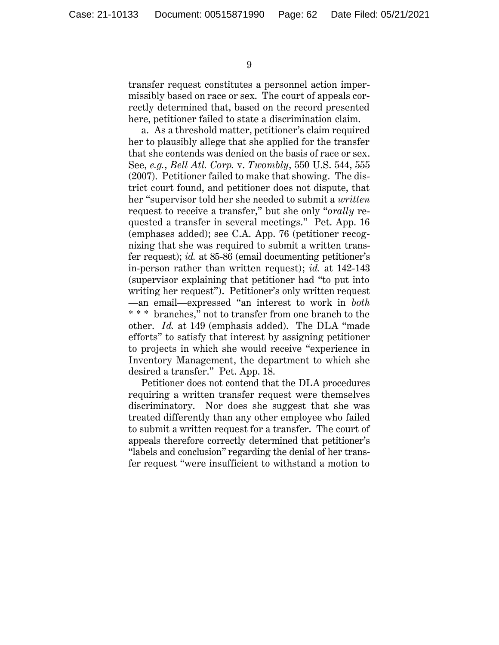transfer request constitutes a personnel action impermissibly based on race or sex. The court of appeals correctly determined that, based on the record presented here, petitioner failed to state a discrimination claim.

a. As a threshold matter, petitioner's claim required her to plausibly allege that she applied for the transfer that she contends was denied on the basis of race or sex. See, *e.g.*, *Bell Atl. Corp.* v. *Twombly*, 550 U.S. 544, 555 (2007). Petitioner failed to make that showing. The district court found, and petitioner does not dispute, that her "supervisor told her she needed to submit a *written* request to receive a transfer," but she only "*orally* requested a transfer in several meetings." Pet. App. 16 (emphases added); see C.A. App. 76 (petitioner recognizing that she was required to submit a written transfer request); *id.* at 85-86 (email documenting petitioner's in-person rather than written request); *id.* at 142-143 (supervisor explaining that petitioner had "to put into writing her request"). Petitioner's only written request —an email—expressed "an interest to work in *both* \* \* \* branches," not to transfer from one branch to the other. *Id.* at 149 (emphasis added). The DLA "made efforts" to satisfy that interest by assigning petitioner to projects in which she would receive "experience in Inventory Management, the department to which she desired a transfer." Pet. App. 18.

Petitioner does not contend that the DLA procedures requiring a written transfer request were themselves discriminatory. Nor does she suggest that she was treated differently than any other employee who failed to submit a written request for a transfer. The court of appeals therefore correctly determined that petitioner's "labels and conclusion" regarding the denial of her transfer request "were insufficient to withstand a motion to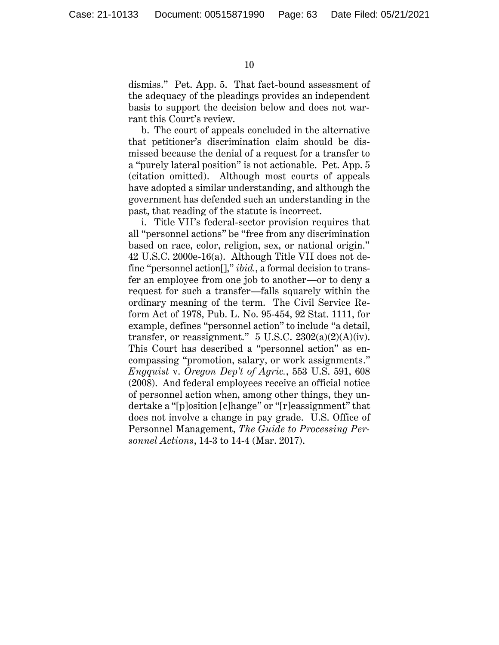dismiss." Pet. App. 5. That fact-bound assessment of the adequacy of the pleadings provides an independent basis to support the decision below and does not warrant this Court's review.

b. The court of appeals concluded in the alternative that petitioner's discrimination claim should be dismissed because the denial of a request for a transfer to a "purely lateral position" is not actionable. Pet. App. 5 (citation omitted). Although most courts of appeals have adopted a similar understanding, and although the government has defended such an understanding in the past, that reading of the statute is incorrect.

i. Title VII's federal-sector provision requires that all "personnel actions" be "free from any discrimination based on race, color, religion, sex, or national origin." 42 U.S.C. 2000e-16(a). Although Title VII does not define "personnel action[]," *ibid.*, a formal decision to transfer an employee from one job to another—or to deny a request for such a transfer—falls squarely within the ordinary meaning of the term. The Civil Service Reform Act of 1978, Pub. L. No. 95-454, 92 Stat. 1111, for example, defines "personnel action" to include "a detail, transfer, or reassignment."  $5 \text{ U.S.C. } 2302(a)(2)(A)(iv)$ . This Court has described a "personnel action" as encompassing "promotion, salary, or work assignments." *Engquist* v. *Oregon Dep't of Agric.*, 553 U.S. 591, 608 (2008). And federal employees receive an official notice of personnel action when, among other things, they undertake a "[p]osition [c]hange" or "[r]eassignment" that does not involve a change in pay grade. U.S. Office of Personnel Management, *The Guide to Processing Personnel Actions*, 14-3 to 14-4 (Mar. 2017).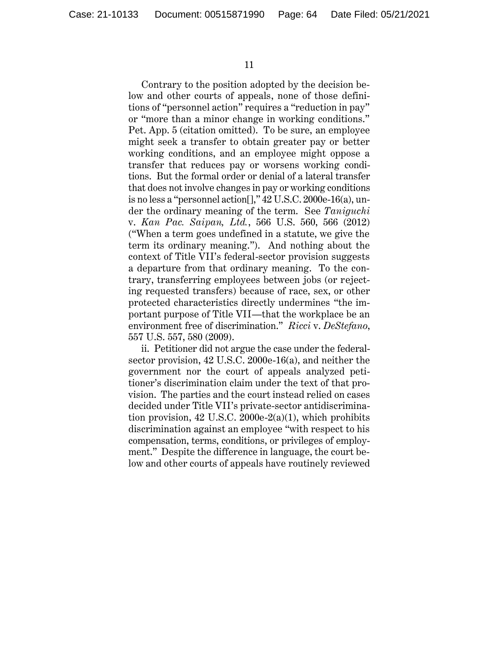Contrary to the position adopted by the decision below and other courts of appeals, none of those definitions of "personnel action" requires a "reduction in pay" or "more than a minor change in working conditions." Pet. App. 5 (citation omitted). To be sure, an employee might seek a transfer to obtain greater pay or better working conditions, and an employee might oppose a transfer that reduces pay or worsens working conditions. But the formal order or denial of a lateral transfer that does not involve changes in pay or working conditions is no less a "personnel action[]," 42 U.S.C. 2000e-16(a), under the ordinary meaning of the term. See *Taniguchi* v. *Kan Pac. Saipan, Ltd.*, 566 U.S. 560, 566 (2012) ("When a term goes undefined in a statute, we give the term its ordinary meaning."). And nothing about the context of Title VII's federal-sector provision suggests a departure from that ordinary meaning. To the contrary, transferring employees between jobs (or rejecting requested transfers) because of race, sex, or other protected characteristics directly undermines "the important purpose of Title VII—that the workplace be an environment free of discrimination." *Ricci* v. *DeStefano*, 557 U.S. 557, 580 (2009).

ii. Petitioner did not argue the case under the federalsector provision, 42 U.S.C. 2000e-16(a), and neither the government nor the court of appeals analyzed petitioner's discrimination claim under the text of that provision. The parties and the court instead relied on cases decided under Title VII's private-sector antidiscrimination provision,  $42 \text{ U.S.C. } 2000 \text{e-}2(a)(1)$ , which prohibits discrimination against an employee "with respect to his compensation, terms, conditions, or privileges of employment." Despite the difference in language, the court below and other courts of appeals have routinely reviewed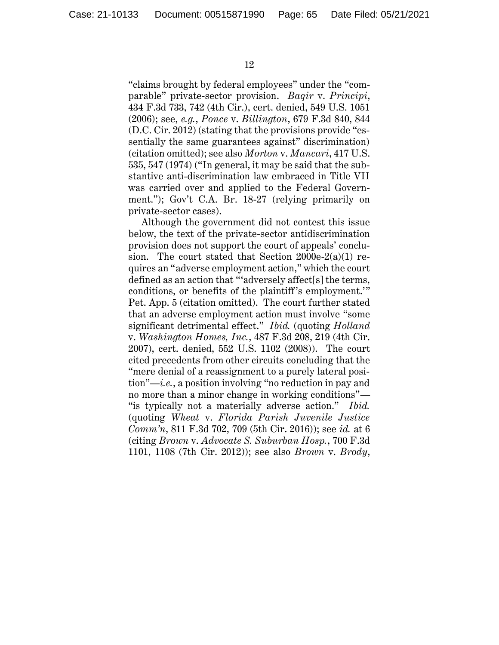"claims brought by federal employees" under the "comparable" private-sector provision. *Baqir* v. *Principi*, 434 F.3d 733, 742 (4th Cir.), cert. denied, 549 U.S. 1051 (2006); see, *e.g.*, *Ponce* v. *Billington*, 679 F.3d 840, 844 (D.C. Cir. 2012) (stating that the provisions provide "essentially the same guarantees against" discrimination) (citation omitted); see also *Morton* v. *Mancari*, 417 U.S. 535, 547 (1974) ("In general, it may be said that the substantive anti-discrimination law embraced in Title VII was carried over and applied to the Federal Government."); Gov't C.A. Br. 18-27 (relying primarily on private-sector cases).

Although the government did not contest this issue below, the text of the private-sector antidiscrimination provision does not support the court of appeals' conclusion. The court stated that Section  $2000e-2(a)(1)$  requires an "adverse employment action," which the court defined as an action that "'adversely affect[s] the terms, conditions, or benefits of the plaintiff's employment.'" Pet. App. 5 (citation omitted). The court further stated that an adverse employment action must involve "some significant detrimental effect." *Ibid.* (quoting *Holland*  v. *Washington Homes, Inc.*, 487 F.3d 208, 219 (4th Cir. 2007), cert. denied, 552 U.S. 1102 (2008)). The court cited precedents from other circuits concluding that the "mere denial of a reassignment to a purely lateral position"—*i.e.*, a position involving "no reduction in pay and no more than a minor change in working conditions"— "is typically not a materially adverse action." *Ibid.* (quoting *Wheat* v. *Florida Parish Juvenile Justice Comm'n*, 811 F.3d 702, 709 (5th Cir. 2016)); see *id.* at 6 (citing *Brown* v. *Advocate S. Suburban Hosp.*, 700 F.3d 1101, 1108 (7th Cir. 2012)); see also *Brown* v. *Brody*,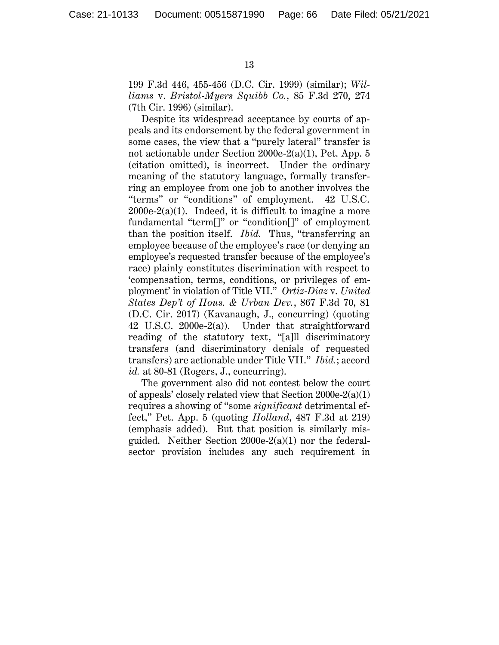199 F.3d 446, 455-456 (D.C. Cir. 1999) (similar); *Williams* v. *Bristol-Myers Squibb Co.*, 85 F.3d 270, 274 (7th Cir. 1996) (similar).

Despite its widespread acceptance by courts of appeals and its endorsement by the federal government in some cases, the view that a "purely lateral" transfer is not actionable under Section 2000e-2(a)(1), Pet. App. 5 (citation omitted), is incorrect. Under the ordinary meaning of the statutory language, formally transferring an employee from one job to another involves the "terms" or "conditions" of employment. 42 U.S.C.  $2000e-2(a)(1)$ . Indeed, it is difficult to imagine a more fundamental "term[]" or "condition[]" of employment than the position itself. *Ibid.* Thus, "transferring an employee because of the employee's race (or denying an employee's requested transfer because of the employee's race) plainly constitutes discrimination with respect to 'compensation, terms, conditions, or privileges of employment' in violation of Title VII." *Ortiz-Diaz* v. *United States Dep't of Hous. & Urban Dev.*, 867 F.3d 70, 81 (D.C. Cir. 2017) (Kavanaugh, J., concurring) (quoting 42 U.S.C. 2000e-2(a)). Under that straightforward reading of the statutory text, "[a]ll discriminatory transfers (and discriminatory denials of requested transfers) are actionable under Title VII." *Ibid.*; accord *id.* at 80-81 (Rogers, J., concurring).

The government also did not contest below the court of appeals' closely related view that Section 2000e-2(a)(1) requires a showing of "some *significant* detrimental effect," Pet. App. 5 (quoting *Holland*, 487 F.3d at 219) (emphasis added). But that position is similarly misguided. Neither Section 2000e-2(a)(1) nor the federalsector provision includes any such requirement in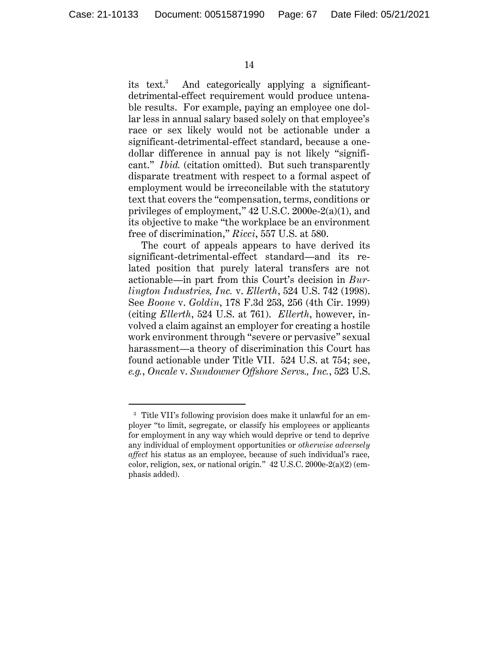14

its text.<sup>3</sup> And categorically applying a significantdetrimental-effect requirement would produce untenable results. For example, paying an employee one dollar less in annual salary based solely on that employee's race or sex likely would not be actionable under a significant-detrimental-effect standard, because a onedollar difference in annual pay is not likely "significant." *Ibid.* (citation omitted). But such transparently disparate treatment with respect to a formal aspect of employment would be irreconcilable with the statutory text that covers the "compensation, terms, conditions or privileges of employment," 42 U.S.C. 2000e-2(a)(1), and its objective to make "the workplace be an environment free of discrimination," *Ricci*, 557 U.S. at 580.

The court of appeals appears to have derived its significant-detrimental-effect standard—and its related position that purely lateral transfers are not actionable—in part from this Court's decision in *Burlington Industries, Inc.* v. *Ellerth*, 524 U.S. 742 (1998). See *Boone* v. *Goldin*, 178 F.3d 253, 256 (4th Cir. 1999) (citing *Ellerth*, 524 U.S. at 761). *Ellerth*, however, involved a claim against an employer for creating a hostile work environment through "severe or pervasive" sexual harassment—a theory of discrimination this Court has found actionable under Title VII. 524 U.S. at 754; see, *e.g.*, *Oncale* v. *Sundowner Offshore Servs., Inc.*, 523 U.S.

<sup>3</sup> Title VII's following provision does make it unlawful for an employer "to limit, segregate, or classify his employees or applicants for employment in any way which would deprive or tend to deprive any individual of employment opportunities or *otherwise adversely affect* his status as an employee, because of such individual's race, color, religion, sex, or national origin." 42 U.S.C. 2000e-2(a)(2) (emphasis added).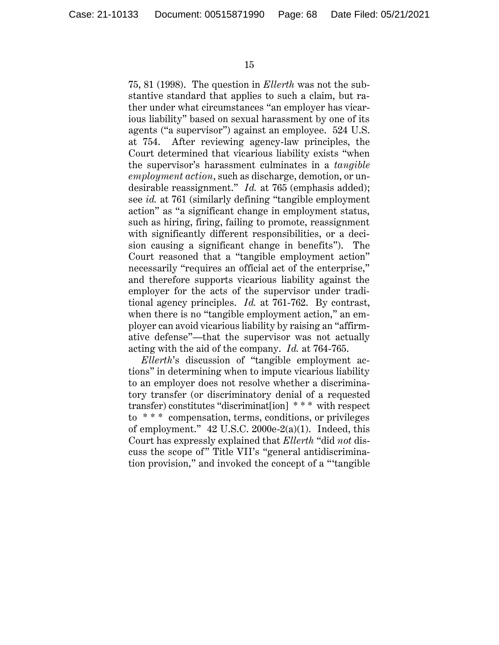75, 81 (1998). The question in *Ellerth* was not the substantive standard that applies to such a claim, but rather under what circumstances "an employer has vicarious liability" based on sexual harassment by one of its agents ("a supervisor") against an employee. 524 U.S. at 754. After reviewing agency-law principles, the Court determined that vicarious liability exists "when the supervisor's harassment culminates in a *tangible employment action*, such as discharge, demotion, or undesirable reassignment." *Id.* at 765 (emphasis added); see *id.* at 761 (similarly defining "tangible employment action" as "a significant change in employment status, such as hiring, firing, failing to promote, reassignment with significantly different responsibilities, or a decision causing a significant change in benefits"). The Court reasoned that a "tangible employment action" necessarily "requires an official act of the enterprise," and therefore supports vicarious liability against the employer for the acts of the supervisor under traditional agency principles. *Id.* at 761-762. By contrast, when there is no "tangible employment action," an employer can avoid vicarious liability by raising an "affirmative defense"—that the supervisor was not actually acting with the aid of the company. *Id.* at 764-765.

*Ellerth*'s discussion of "tangible employment actions" in determining when to impute vicarious liability to an employer does not resolve whether a discriminatory transfer (or discriminatory denial of a requested transfer) constitutes "discriminat[ion] \* \* \* with respect to \* \* \* compensation, terms, conditions, or privileges of employment." 42 U.S.C. 2000e-2(a)(1). Indeed, this Court has expressly explained that *Ellerth* "did *not* discuss the scope of" Title VII's "general antidiscrimination provision," and invoked the concept of a "'tangible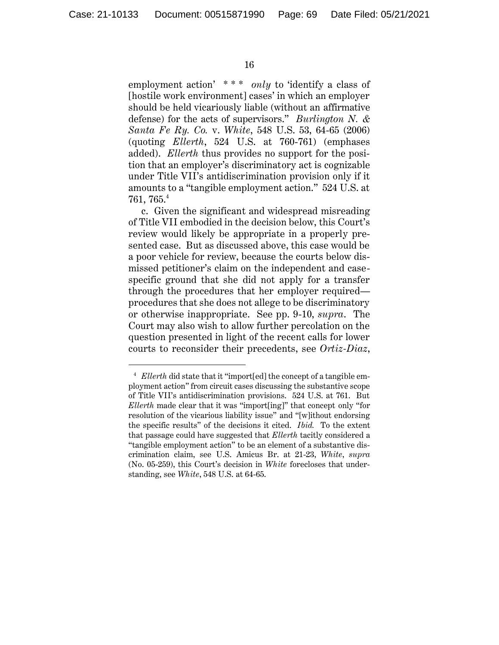employment action' \*\*\* *only* to 'identify a class of [hostile work environment] cases' in which an employer should be held vicariously liable (without an affirmative defense) for the acts of supervisors." *Burlington N. & Santa Fe Ry. Co.* v. *White*, 548 U.S. 53, 64-65 (2006) (quoting *Ellerth*, 524 U.S. at 760-761) (emphases added). *Ellerth* thus provides no support for the position that an employer's discriminatory act is cognizable under Title VII's antidiscrimination provision only if it amounts to a "tangible employment action." 524 U.S. at  $761,\,765.^4$ 

c. Given the significant and widespread misreading of Title VII embodied in the decision below, this Court's review would likely be appropriate in a properly presented case. But as discussed above, this case would be a poor vehicle for review, because the courts below dismissed petitioner's claim on the independent and casespecific ground that she did not apply for a transfer through the procedures that her employer required procedures that she does not allege to be discriminatory or otherwise inappropriate. See pp. 9-10, *supra*. The Court may also wish to allow further percolation on the question presented in light of the recent calls for lower courts to reconsider their precedents, see *Ortiz-Diaz*,

<sup>4</sup> *Ellerth* did state that it "import[ed] the concept of a tangible employment action" from circuit cases discussing the substantive scope of Title VII's antidiscrimination provisions. 524 U.S. at 761. But *Ellerth* made clear that it was "import[ing]" that concept only "for resolution of the vicarious liability issue" and "[w]ithout endorsing the specific results" of the decisions it cited. *Ibid.* To the extent that passage could have suggested that *Ellerth* tacitly considered a "tangible employment action" to be an element of a substantive discrimination claim, see U.S. Amicus Br. at 21-23, *White*, *supra* (No. 05-259), this Court's decision in *White* forecloses that understanding, see *White*, 548 U.S. at 64-65.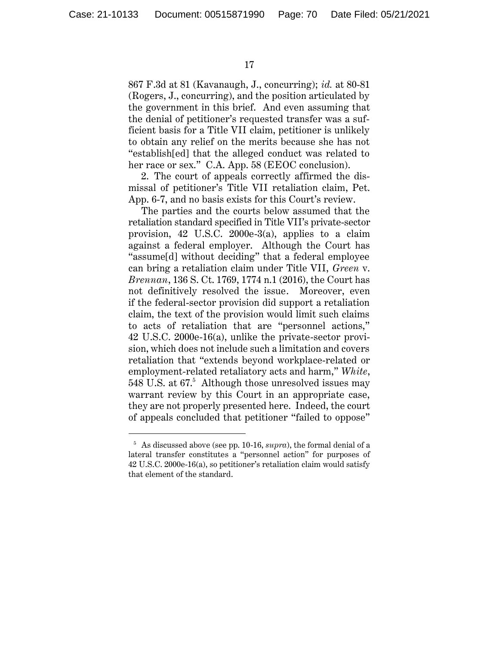867 F.3d at 81 (Kavanaugh, J., concurring); *id.* at 80-81 (Rogers, J., concurring), and the position articulated by the government in this brief. And even assuming that the denial of petitioner's requested transfer was a sufficient basis for a Title VII claim, petitioner is unlikely to obtain any relief on the merits because she has not "establish[ed] that the alleged conduct was related to her race or sex." C.A. App. 58 (EEOC conclusion).

2. The court of appeals correctly affirmed the dismissal of petitioner's Title VII retaliation claim, Pet. App. 6-7, and no basis exists for this Court's review.

The parties and the courts below assumed that the retaliation standard specified in Title VII's private-sector provision, 42 U.S.C. 2000e-3(a), applies to a claim against a federal employer. Although the Court has "assume[d] without deciding" that a federal employee can bring a retaliation claim under Title VII, *Green* v. *Brennan*, 136 S. Ct. 1769, 1774 n.1 (2016), the Court has not definitively resolved the issue. Moreover, even if the federal-sector provision did support a retaliation claim, the text of the provision would limit such claims to acts of retaliation that are "personnel actions," 42 U.S.C. 2000e-16(a), unlike the private-sector provision, which does not include such a limitation and covers retaliation that "extends beyond workplace-related or employment-related retaliatory acts and harm," *White*, 548 U.S. at 67. 5 Although those unresolved issues may warrant review by this Court in an appropriate case, they are not properly presented here. Indeed, the court of appeals concluded that petitioner "failed to oppose"

<sup>5</sup> As discussed above (see pp. 10-16, *supra*), the formal denial of a lateral transfer constitutes a "personnel action" for purposes of 42 U.S.C. 2000e-16(a), so petitioner's retaliation claim would satisfy that element of the standard.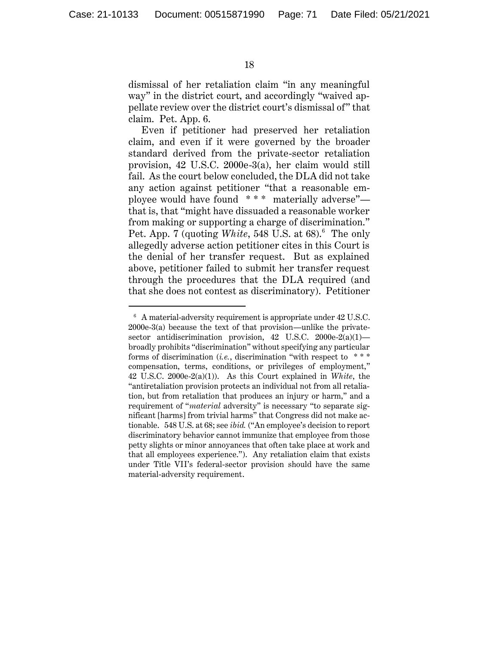dismissal of her retaliation claim "in any meaningful way" in the district court, and accordingly "waived appellate review over the district court's dismissal of" that claim. Pet. App. 6.

Even if petitioner had preserved her retaliation claim, and even if it were governed by the broader standard derived from the private-sector retaliation provision, 42 U.S.C. 2000e-3(a), her claim would still fail. As the court below concluded, the DLA did not take any action against petitioner "that a reasonable employee would have found \* \* \* materially adverse" that is, that "might have dissuaded a reasonable worker from making or supporting a charge of discrimination." Pet. App. 7 (quoting *White*, 548 U.S. at 68).<sup>6</sup> The only allegedly adverse action petitioner cites in this Court is the denial of her transfer request. But as explained above, petitioner failed to submit her transfer request through the procedures that the DLA required (and that she does not contest as discriminatory). Petitioner

 $6$  A material-adversity requirement is appropriate under 42 U.S.C. 2000e-3(a) because the text of that provision—unlike the privatesector antidiscrimination provision, 42 U.S.C. 2000e-2(a)(1)broadly prohibits "discrimination" without specifying any particular forms of discrimination (*i.e.*, discrimination "with respect to \* \* \* compensation, terms, conditions, or privileges of employment," 42 U.S.C. 2000e-2(a)(1)). As this Court explained in *White*, the "antiretaliation provision protects an individual not from all retaliation, but from retaliation that produces an injury or harm," and a requirement of "*material* adversity" is necessary "to separate significant [harms] from trivial harms" that Congress did not make actionable. 548 U.S. at 68; see *ibid.* ("An employee's decision to report discriminatory behavior cannot immunize that employee from those petty slights or minor annoyances that often take place at work and that all employees experience."). Any retaliation claim that exists under Title VII's federal-sector provision should have the same material-adversity requirement.